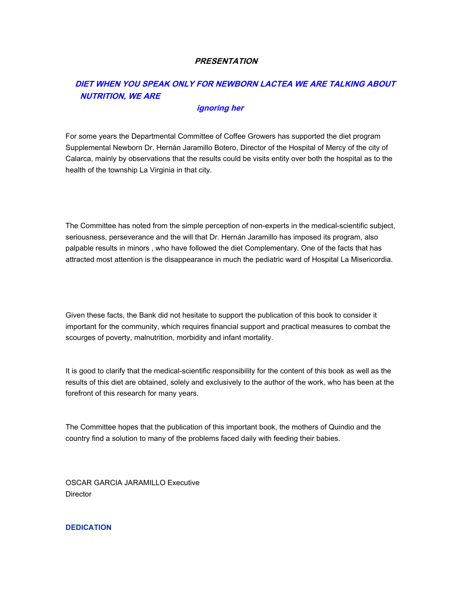## **PRESENTATION**

# **DIET WHEN YOU SPEAK ONLY FOR NEWBORN LACTEA WE ARE TALKING ABOUT NUTRITION, WE ARE**

## **ignoring her**

For some years the Departmental Committee of Coffee Growers has supported the diet program Supplemental Newborn Dr. Hernán Jaramillo Botero, Director of the Hospital of Mercy of the city of Calarca, mainly by observations that the results could be visits entity over both the hospital as to the health of the township La Virginia in that city.

The Committee has noted from the simple perception of non-experts in the medical-scientific subject, seriousness, perseverance and the will that Dr. Hernán Jaramillo has imposed its program, also palpable results in minors , who have followed the diet Complementary. One of the facts that has attracted most attention is the disappearance in much the pediatric ward of Hospital La Misericordia.

Given these facts, the Bank did not hesitate to support the publication of this book to consider it important for the community, which requires financial support and practical measures to combat the scourges of poverty, malnutrition, morbidity and infant mortality.

It is good to clarify that the medical-scientific responsibility for the content of this book as well as the results of this diet are obtained, solely and exclusively to the author of the work, who has been at the forefront of this research for many years.

The Committee hopes that the publication of this important book, the mothers of Quindio and the country find a solution to many of the problems faced daily with feeding their babies.

OSCAR GARCIA JARAMILLO Executive **Director** 

**DEDICATION**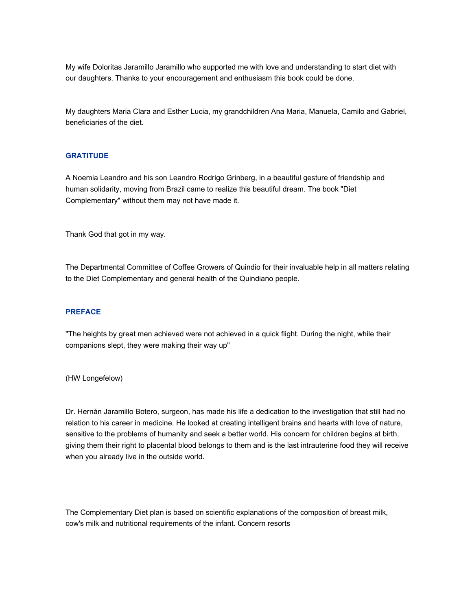My wife Doloritas Jaramillo Jaramillo who supported me with love and understanding to start diet with our daughters. Thanks to your encouragement and enthusiasm this book could be done.

My daughters Maria Clara and Esther Lucia, my grandchildren Ana Maria, Manuela, Camilo and Gabriel, beneficiaries of the diet.

## **GRATITUDE**

A Noemia Leandro and his son Leandro Rodrigo Grinberg, in a beautiful gesture of friendship and human solidarity, moving from Brazil came to realize this beautiful dream. The book "Diet Complementary" without them may not have made it.

Thank God that got in my way.

The Departmental Committee of Coffee Growers of Quindio for their invaluable help in all matters relating to the Diet Complementary and general health of the Quindiano people.

### **PREFACE**

"The heights by great men achieved were not achieved in a quick flight. During the night, while their companions slept, they were making their way up"

(HW Longefelow)

Dr. Hernán Jaramillo Botero, surgeon, has made his life a dedication to the investigation that still had no relation to his career in medicine. He looked at creating intelligent brains and hearts with love of nature, sensitive to the problems of humanity and seek a better world. His concern for children begins at birth, giving them their right to placental blood belongs to them and is the last intrauterine food they will receive when you already live in the outside world.

The Complementary Diet plan is based on scientific explanations of the composition of breast milk, cow's milk and nutritional requirements of the infant. Concern resorts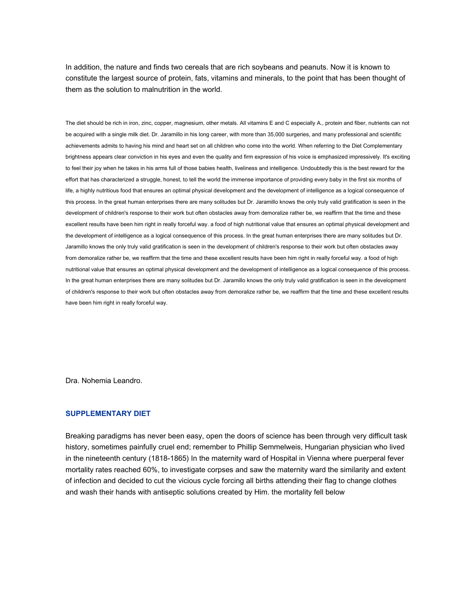In addition, the nature and finds two cereals that are rich soybeans and peanuts. Now it is known to constitute the largest source of protein, fats, vitamins and minerals, to the point that has been thought of them as the solution to malnutrition in the world.

The diet should be rich in iron, zinc, copper, magnesium, other metals. All vitamins E and C especially A., protein and fiber, nutrients can not be acquired with a single milk diet. Dr. Jaramillo in his long career, with more than 35,000 surgeries, and many professional and scientific achievements admits to having his mind and heart set on all children who come into the world. When referring to the Diet Complementary brightness appears clear conviction in his eyes and even the quality and firm expression of his voice is emphasized impressively. It's exciting to feel their joy when he takes in his arms full of those babies health, liveliness and intelligence. Undoubtedly this is the best reward for the effort that has characterized a struggle, honest, to tell the world the immense importance of providing every baby in the first six months of life, a highly nutritious food that ensures an optimal physical development and the development of intelligence as a logical consequence of this process. In the great human enterprises there are many solitudes but Dr. Jaramillo knows the only truly valid gratification is seen in the development of children's response to their work but often obstacles away from demoralize rather be, we reaffirm that the time and these excellent results have been him right in really forceful way. a food of high nutritional value that ensures an optimal physical development and the development of intelligence as a logical consequence of this process. In the great human enterprises there are many solitudes but Dr. Jaramillo knows the only truly valid gratification is seen in the development of children's response to their work but often obstacles away from demoralize rather be, we reaffirm that the time and these excellent results have been him right in really forceful way. a food of high nutritional value that ensures an optimal physical development and the development of intelligence as a logical consequence of this process. In the great human enterprises there are many solitudes but Dr. Jaramillo knows the only truly valid gratification is seen in the development of children's response to their work but often obstacles away from demoralize rather be, we reaffirm that the time and these excellent results have been him right in really forceful way.

Dra. Nohemia Leandro.

#### **SUPPLEMENTARY DIET**

Breaking paradigms has never been easy, open the doors of science has been through very difficult task history, sometimes painfully cruel end; remember to Phillip Semmelweis, Hungarian physician who lived in the nineteenth century (1818-1865) In the maternity ward of Hospital in Vienna where puerperal fever mortality rates reached 60%, to investigate corpses and saw the maternity ward the similarity and extent of infection and decided to cut the vicious cycle forcing all births attending their flag to change clothes and wash their hands with antiseptic solutions created by Him. the mortality fell below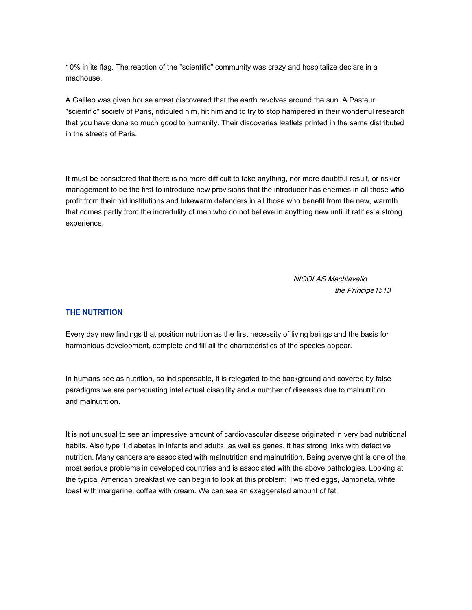10% in its flag. The reaction of the "scientific" community was crazy and hospitalize declare in a madhouse.

A Galileo was given house arrest discovered that the earth revolves around the sun. A Pasteur "scientific" society of Paris, ridiculed him, hit him and to try to stop hampered in their wonderful research that you have done so much good to humanity. Their discoveries leaflets printed in the same distributed in the streets of Paris.

It must be considered that there is no more difficult to take anything, nor more doubtful result, or riskier management to be the first to introduce new provisions that the introducer has enemies in all those who profit from their old institutions and lukewarm defenders in all those who benefit from the new, warmth that comes partly from the incredulity of men who do not believe in anything new until it ratifies a strong experience.

> NICOLAS Machiavello the Príncipe1513

## **THE NUTRITION**

Every day new findings that position nutrition as the first necessity of living beings and the basis for harmonious development, complete and fill all the characteristics of the species appear.

In humans see as nutrition, so indispensable, it is relegated to the background and covered by false paradigms we are perpetuating intellectual disability and a number of diseases due to malnutrition and malnutrition.

It is not unusual to see an impressive amount of cardiovascular disease originated in very bad nutritional habits. Also type 1 diabetes in infants and adults, as well as genes, it has strong links with defective nutrition. Many cancers are associated with malnutrition and malnutrition. Being overweight is one of the most serious problems in developed countries and is associated with the above pathologies. Looking at the typical American breakfast we can begin to look at this problem: Two fried eggs, Jamoneta, white toast with margarine, coffee with cream. We can see an exaggerated amount of fat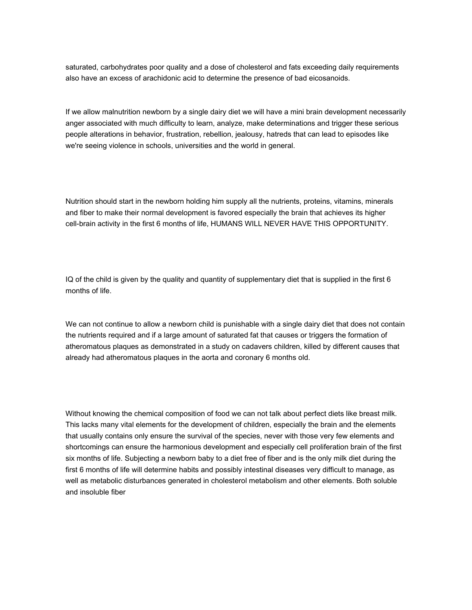saturated, carbohydrates poor quality and a dose of cholesterol and fats exceeding daily requirements also have an excess of arachidonic acid to determine the presence of bad eicosanoids.

If we allow malnutrition newborn by a single dairy diet we will have a mini brain development necessarily anger associated with much difficulty to learn, analyze, make determinations and trigger these serious people alterations in behavior, frustration, rebellion, jealousy, hatreds that can lead to episodes like we're seeing violence in schools, universities and the world in general.

Nutrition should start in the newborn holding him supply all the nutrients, proteins, vitamins, minerals and fiber to make their normal development is favored especially the brain that achieves its higher cell-brain activity in the first 6 months of life, HUMANS WILL NEVER HAVE THIS OPPORTUNITY.

IQ of the child is given by the quality and quantity of supplementary diet that is supplied in the first 6 months of life.

We can not continue to allow a newborn child is punishable with a single dairy diet that does not contain the nutrients required and if a large amount of saturated fat that causes or triggers the formation of atheromatous plaques as demonstrated in a study on cadavers children, killed by different causes that already had atheromatous plaques in the aorta and coronary 6 months old.

Without knowing the chemical composition of food we can not talk about perfect diets like breast milk. This lacks many vital elements for the development of children, especially the brain and the elements that usually contains only ensure the survival of the species, never with those very few elements and shortcomings can ensure the harmonious development and especially cell proliferation brain of the first six months of life. Subjecting a newborn baby to a diet free of fiber and is the only milk diet during the first 6 months of life will determine habits and possibly intestinal diseases very difficult to manage, as well as metabolic disturbances generated in cholesterol metabolism and other elements. Both soluble and insoluble fiber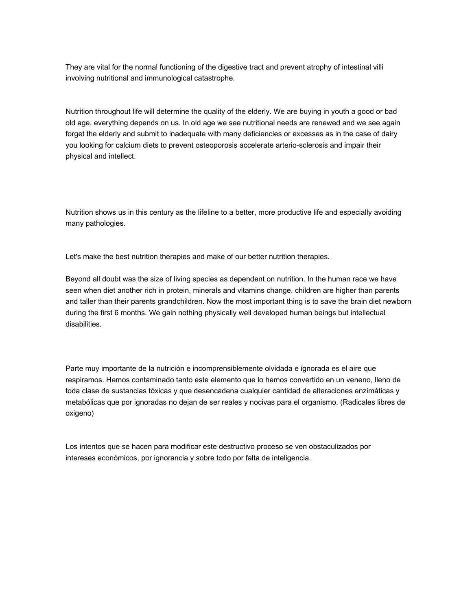They are vital for the normal functioning of the digestive tract and prevent atrophy of intestinal villi involving nutritional and immunological catastrophe.

Nutrition throughout life will determine the quality of the elderly. We are buying in youth a good or bad old age, everything depends on us. In old age we see nutritional needs are renewed and we see again forget the elderly and submit to inadequate with many deficiencies or excesses as in the case of dairy you looking for calcium diets to prevent osteoporosis accelerate arterio-sclerosis and impair their physical and intellect.

Nutrition shows us in this century as the lifeline to a better, more productive life and especially avoiding many pathologies.

Let's make the best nutrition therapies and make of our better nutrition therapies.

Beyond all doubt was the size of living species as dependent on nutrition. In the human race we have seen when diet another rich in protein, minerals and vitamins change, children are higher than parents and taller than their parents grandchildren. Now the most important thing is to save the brain diet newborn during the first 6 months. We gain nothing physically well developed human beings but intellectual disabilities.

Parte muy importante de la nutrición e incomprensiblemente olvidada e ignorada es el aire que respiramos. Hemos contaminado tanto este elemento que lo hemos convertido en un veneno, lleno de toda clase de sustancias tóxicas y que desencadena cualquier cantidad de alteraciones enzimáticas y metabólicas que por ignoradas no dejan de ser reales y nocivas para el organismo. (Radicales libres de oxigeno)

Los intentos que se hacen para modificar este destructivo proceso se ven obstaculizados por intereses económicos, por ignorancia y sobre todo por falta de inteligencia.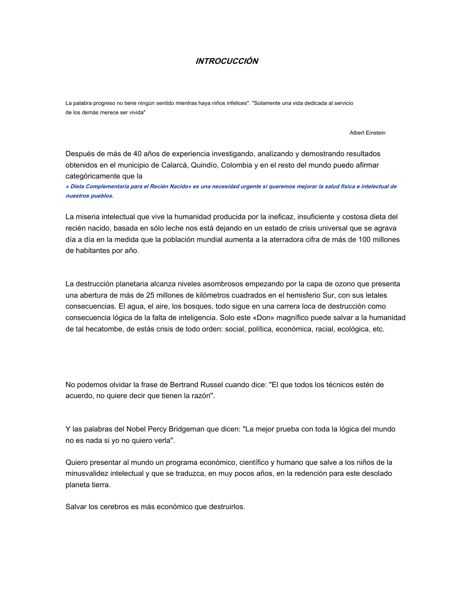## **INTROCUCCIÓN**

La palabra progreso no tiene ningún sentido mientras haya niños infelices". "Solamente una vida dedicada al servicio de los demás merece ser vivida"

Albert Einstein

Después de más de 40 años de experiencia investigando, analizando y demostrando resultados obtenidos en el municipio de Calarcá, Quindío, Colombia y en el resto del mundo puedo afirmar categóricamente que la

**« Dieta Complementaria para el Recién Nacido» es una necesidad urgente si queremos mejorar la salud física e intelectual de nuestros pueblos.** 

La miseria intelectual que vive la humanidad producida por la ineficaz, insuficiente y costosa dieta del recién nacido, basada en sólo leche nos está dejando en un estado de crisis universal que se agrava día a día en la medida que la población mundial aumenta a la aterradora cifra de más de 100 millones de habitantes por año.

La destrucción planetaria alcanza niveles asombrosos empezando por la capa de ozono que presenta una abertura de más de 25 millones de kilómetros cuadrados en el hemisferio Sur, con sus letales consecuencias. El agua, el aire, los bosques, todo sigue en una carrera loca de destrucción como consecuencia lógica de la falta de inteligencia. Solo este «Don» magnífico puede salvar a la humanidad de tal hecatombe, de estás crisis de todo orden: social, política, económica, racial, ecológica, etc.

No podemos olvidar la frase de Bertrand Russel cuando dice: "El que todos los técnicos estén de acuerdo, no quiere decir que tienen la razón".

Y las palabras del Nobel Percy Bridgeman que dicen: "La mejor prueba con toda la lógica del mundo no es nada si yo no quiero verla".

Quiero presentar al mundo un programa económico, científico y humano que salve a los niños de la minusvalidez intelectual y que se traduzca, en muy pocos años, en la redención para este desolado planeta tierra.

Salvar los cerebros es más económico que destruirlos.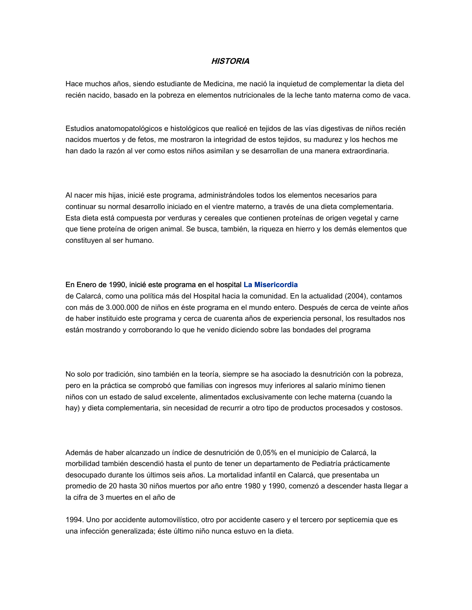## **HISTORIA**

Hace muchos años, siendo estudiante de Medicina, me nació la inquietud de complementar la dieta del recién nacido, basado en la pobreza en elementos nutricionales de la leche tanto materna como de vaca.

Estudios anatomopatológicos e histológicos que realicé en tejidos de las vías digestivas de niños recién nacidos muertos y de fetos, me mostraron la integridad de estos tejidos, su madurez y los hechos me han dado la razón al ver como estos niños asimilan y se desarrollan de una manera extraordinaria.

Al nacer mis hijas, inicié este programa, administrándoles todos los elementos necesarios para continuar su normal desarrollo iniciado en el vientre materno, a través de una dieta complementaria. Esta dieta está compuesta por verduras y cereales que contienen proteínas de origen vegetal y carne que tiene proteína de origen animal. Se busca, también, la riqueza en hierro y los demás elementos que constituyen al ser humano.

### En Enero de 1990, inicié este programa en el hospital **La Misericordia**

de Calarcá, como una política más del Hospital hacia la comunidad. En la actualidad (2004), contamos con más de 3.000.000 de niños en éste programa en el mundo entero. Después de cerca de veinte años de haber instituido este programa y cerca de cuarenta años de experiencia personal, los resultados nos están mostrando y corroborando lo que he venido diciendo sobre las bondades del programa

No solo por tradición, sino también en la teoría, siempre se ha asociado la desnutrición con la pobreza, pero en la práctica se comprobó que familias con ingresos muy inferiores al salario mínimo tienen niños con un estado de salud excelente, alimentados exclusivamente con leche materna (cuando la hay) y dieta complementaria, sin necesidad de recurrir a otro tipo de productos procesados y costosos.

Además de haber alcanzado un índice de desnutrición de 0,05% en el municipio de Calarcá, la morbilidad también descendió hasta el punto de tener un departamento de Pediatría prácticamente desocupado durante los últimos seis años. La mortalidad infantil en Calarcá, que presentaba un promedio de 20 hasta 30 niños muertos por año entre 1980 y 1990, comenzó a descender hasta llegar a la cifra de 3 muertes en el año de

1994. Uno por accidente automovilístico, otro por accidente casero y el tercero por septicemia que es una infección generalizada; éste último niño nunca estuvo en la dieta.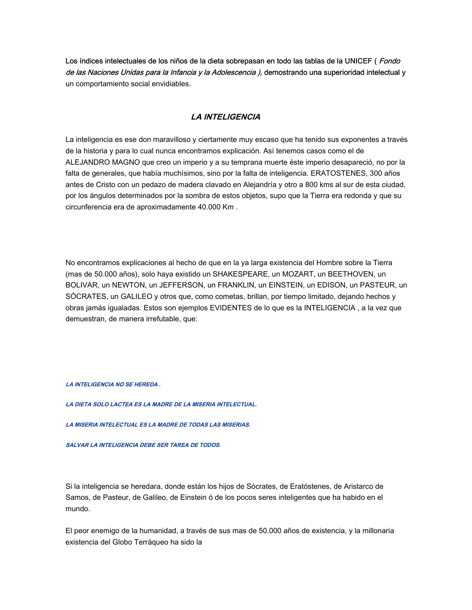Los índices intelectuales de los niños de la dieta sobrepasan en todo las tablas de la UNICEF (*Fondo* de las Naciones Unidas para la Infancia y la Adolescencia ), demostrando una superioridad intelectual y un comportamiento social envidiables.

## **LA INTELIGENCIA**

La inteligencia es ese don maravilloso y ciertamente muy escaso que ha tenido sus exponentes a través de la historia y para lo cual nunca encontramos explicación. Así tenemos casos como el de ALEJANDRO MAGNO que creo un imperio y a su temprana muerte éste imperio desapareció, no por la falta de generales, que había muchísimos, sino por la falta de inteligencia. ERATOSTENES, 300 años antes de Cristo con un pedazo de madera clavado en Alejandría y otro a 800 kms al sur de esta ciudad, por los ángulos determinados por la sombra de estos objetos, supo que la Tierra era redonda y que su circunferencia era de aproximadamente 40.000 Km .

No encontramos explicaciones al hecho de que en la ya larga existencia del Hombre sobre la Tierra (mas de 50.000 años), solo haya existido un SHAKESPEARE, un MOZART, un BEETHOVEN, un BOLIVAR, un NEWTON, un JEFFERSON, un FRANKLIN, un EINSTEIN, un EDISON, un PASTEUR, un SÓCRATES, un GALILEO y otros que, como cometas, brillan, por tiempo limitado, dejando hechos y obras jamás igualadas. Estos son ejemplos EVIDENTES de lo que es la INTELIGENCIA , a la vez que demuestran, de manera irrefutable, que:

**LA INTELIGENCIA NO SE HEREDA .**

**LA DIETA SOLO LACTEA ES LA MADRE DE LA MISERIA INTELECTUAL.** 

**LA MISERIA INTELECTUAL ES LA MADRE DE TODAS LAS MISERIAS.** 

**SALVAR LA INTELIGENCIA DEBE SER TAREA DE TODOS.** 

Si la inteligencia se heredara, donde están los hijos de Sócrates, de Eratóstenes, de Aristarco de Samos, de Pasteur, de Galileo, de Einstein ó de los pocos seres inteligentes que ha habido en el mundo.

El peor enemigo de la humanidad, a través de sus mas de 50.000 años de existencia, y la millonaria existencia del Globo Terráqueo ha sido la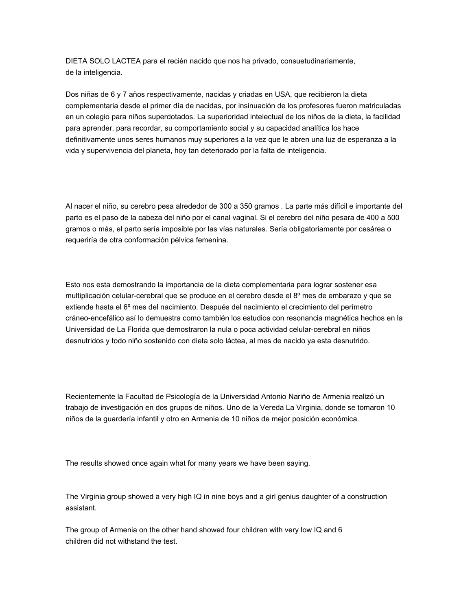DIETA SOLO LACTEA para el recién nacido que nos ha privado, consuetudinariamente, de la inteligencia.

Dos niñas de 6 y 7 años respectivamente, nacidas y criadas en USA, que recibieron la dieta complementaria desde el primer día de nacidas, por insinuación de los profesores fueron matriculadas en un colegio para niños superdotados. La superioridad intelectual de los niños de la dieta, la facilidad para aprender, para recordar, su comportamiento social y su capacidad analítica los hace definitivamente unos seres humanos muy superiores a la vez que le abren una luz de esperanza a la vida y supervivencia del planeta, hoy tan deteriorado por la falta de inteligencia.

Al nacer el niño, su cerebro pesa alrededor de 300 a 350 gramos . La parte más difícil e importante del parto es el paso de la cabeza del niño por el canal vaginal. Si el cerebro del niño pesara de 400 a 500 gramos o más, el parto sería imposible por las vías naturales. Sería obligatoriamente por cesárea o requeriría de otra conformación pélvica femenina.

Esto nos esta demostrando la importancia de la dieta complementaria para lograr sostener esa multiplicación celular-cerebral que se produce en el cerebro desde el 8º mes de embarazo y que se extiende hasta el 6º mes del nacimiento. Después del nacimiento el crecimiento del perímetro cráneo-encefálico así lo demuestra como también los estudios con resonancia magnética hechos en la Universidad de La Florida que demostraron la nula o poca actividad celular-cerebral en niños desnutridos y todo niño sostenido con dieta solo láctea, al mes de nacido ya esta desnutrido.

Recientemente la Facultad de Psicología de la Universidad Antonio Nariño de Armenia realizó un trabajo de investigación en dos grupos de niños. Uno de la Vereda La Virginia, donde se tomaron 10 niños de la guardería infantil y otro en Armenia de 10 niños de mejor posición económica.

The results showed once again what for many years we have been saying.

The Virginia group showed a very high IQ in nine boys and a girl genius daughter of a construction assistant.

The group of Armenia on the other hand showed four children with very low IQ and 6 children did not withstand the test.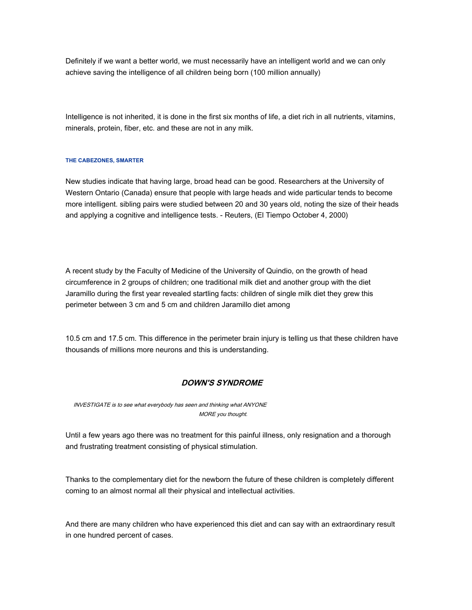Definitely if we want a better world, we must necessarily have an intelligent world and we can only achieve saving the intelligence of all children being born (100 million annually)

Intelligence is not inherited, it is done in the first six months of life, a diet rich in all nutrients, vitamins, minerals, protein, fiber, etc. and these are not in any milk.

#### **THE CABEZONES, SMARTER**

New studies indicate that having large, broad head can be good. Researchers at the University of Western Ontario (Canada) ensure that people with large heads and wide particular tends to become more intelligent. sibling pairs were studied between 20 and 30 years old, noting the size of their heads and applying a cognitive and intelligence tests. - Reuters, (El Tiempo October 4, 2000)

A recent study by the Faculty of Medicine of the University of Quindio, on the growth of head circumference in 2 groups of children; one traditional milk diet and another group with the diet Jaramillo during the first year revealed startling facts: children of single milk diet they grew this perimeter between 3 cm and 5 cm and children Jaramillo diet among

10.5 cm and 17.5 cm. This difference in the perimeter brain injury is telling us that these children have thousands of millions more neurons and this is understanding.

### **DOWN'S SYNDROME**

INVESTIGATE is to see what everybody has seen and thinking what ANYONE MORE you thought.

Until a few years ago there was no treatment for this painful illness, only resignation and a thorough and frustrating treatment consisting of physical stimulation.

Thanks to the complementary diet for the newborn the future of these children is completely different coming to an almost normal all their physical and intellectual activities.

And there are many children who have experienced this diet and can say with an extraordinary result in one hundred percent of cases.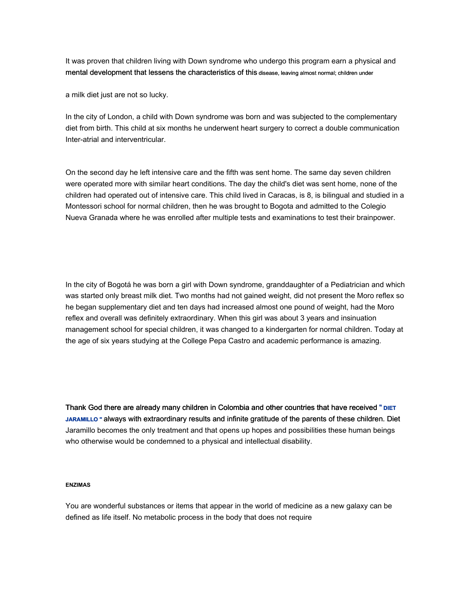It was proven that children living with Down syndrome who undergo this program earn a physical and mental development that lessens the characteristics of this disease, leaving almost normal; children under

a milk diet just are not so lucky.

In the city of London, a child with Down syndrome was born and was subjected to the complementary diet from birth. This child at six months he underwent heart surgery to correct a double communication Inter-atrial and interventricular.

On the second day he left intensive care and the fifth was sent home. The same day seven children were operated more with similar heart conditions. The day the child's diet was sent home, none of the children had operated out of intensive care. This child lived in Caracas, is 8, is bilingual and studied in a Montessori school for normal children, then he was brought to Bogota and admitted to the Colegio Nueva Granada where he was enrolled after multiple tests and examinations to test their brainpower.

In the city of Bogotá he was born a girl with Down syndrome, granddaughter of a Pediatrician and which was started only breast milk diet. Two months had not gained weight, did not present the Moro reflex so he began supplementary diet and ten days had increased almost one pound of weight, had the Moro reflex and overall was definitely extraordinary. When this girl was about 3 years and insinuation management school for special children, it was changed to a kindergarten for normal children. Today at the age of six years studying at the College Pepa Castro and academic performance is amazing.

Thank God there are already many children in Colombia and other countries that have received " **DIET JARAMILLO "** always with extraordinary results and infinite gratitude of the parents of these children. Diet Jaramillo becomes the only treatment and that opens up hopes and possibilities these human beings who otherwise would be condemned to a physical and intellectual disability.

### **ENZIMAS**

You are wonderful substances or items that appear in the world of medicine as a new galaxy can be defined as life itself. No metabolic process in the body that does not require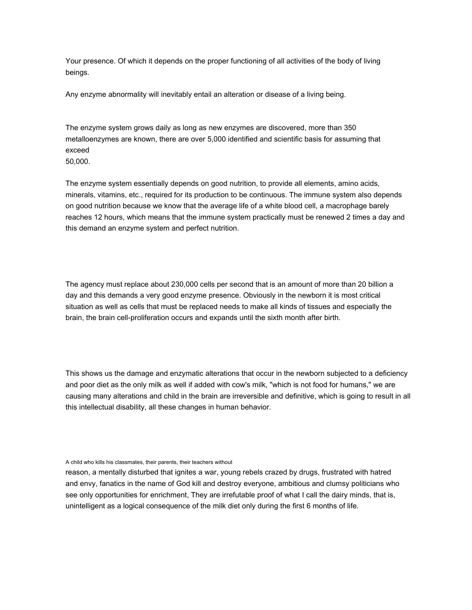Your presence. Of which it depends on the proper functioning of all activities of the body of living beings.

Any enzyme abnormality will inevitably entail an alteration or disease of a living being.

The enzyme system grows daily as long as new enzymes are discovered, more than 350 metalloenzymes are known, there are over 5,000 identified and scientific basis for assuming that exceed

50,000.

The enzyme system essentially depends on good nutrition, to provide all elements, amino acids, minerals, vitamins, etc., required for its production to be continuous. The immune system also depends on good nutrition because we know that the average life of a white blood cell, a macrophage barely reaches 12 hours, which means that the immune system practically must be renewed 2 times a day and this demand an enzyme system and perfect nutrition.

The agency must replace about 230,000 cells per second that is an amount of more than 20 billion a day and this demands a very good enzyme presence. Obviously in the newborn it is most critical situation as well as cells that must be replaced needs to make all kinds of tissues and especially the brain, the brain cell-proliferation occurs and expands until the sixth month after birth.

This shows us the damage and enzymatic alterations that occur in the newborn subjected to a deficiency and poor diet as the only milk as well if added with cow's milk, "which is not food for humans," we are causing many alterations and child in the brain are irreversible and definitive, which is going to result in all this intellectual disability, all these changes in human behavior.

A child who kills his classmates, their parents, their teachers without

reason, a mentally disturbed that ignites a war, young rebels crazed by drugs, frustrated with hatred and envy, fanatics in the name of God kill and destroy everyone, ambitious and clumsy politicians who see only opportunities for enrichment, They are irrefutable proof of what I call the dairy minds, that is, unintelligent as a logical consequence of the milk diet only during the first 6 months of life.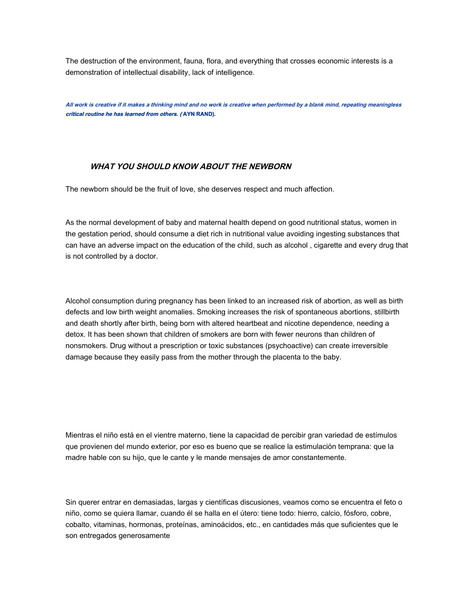The destruction of the environment, fauna, flora, and everything that crosses economic interests is a demonstration of intellectual disability, lack of intelligence.

**All work is creative if it makes a thinking mind and no work is creative when performed by a blank mind, repeating meaningless critical routine he has learned from others. ( AYN RAND).**

## **WHAT YOU SHOULD KNOW ABOUT THE NEWBORN**

The newborn should be the fruit of love, she deserves respect and much affection.

As the normal development of baby and maternal health depend on good nutritional status, women in the gestation period, should consume a diet rich in nutritional value avoiding ingesting substances that can have an adverse impact on the education of the child, such as alcohol , cigarette and every drug that is not controlled by a doctor.

Alcohol consumption during pregnancy has been linked to an increased risk of abortion, as well as birth defects and low birth weight anomalies. Smoking increases the risk of spontaneous abortions, stillbirth and death shortly after birth, being born with altered heartbeat and nicotine dependence, needing a detox. It has been shown that children of smokers are born with fewer neurons than children of nonsmokers. Drug without a prescription or toxic substances (psychoactive) can create irreversible damage because they easily pass from the mother through the placenta to the baby.

Mientras el niño está en el vientre materno, tiene la capacidad de percibir gran variedad de estímulos que provienen del mundo exterior, por eso es bueno que se realice la estimulación temprana: que la madre hable con su hijo, que le cante y le mande mensajes de amor constantemente.

Sin querer entrar en demasiadas, largas y científicas discusiones, veamos como se encuentra el feto o niño, como se quiera llamar, cuando él se halla en el útero: tiene todo: hierro, calcio, fósforo, cobre, cobalto, vitaminas, hormonas, proteínas, aminoácidos, etc., en cantidades más que suficientes que le son entregados generosamente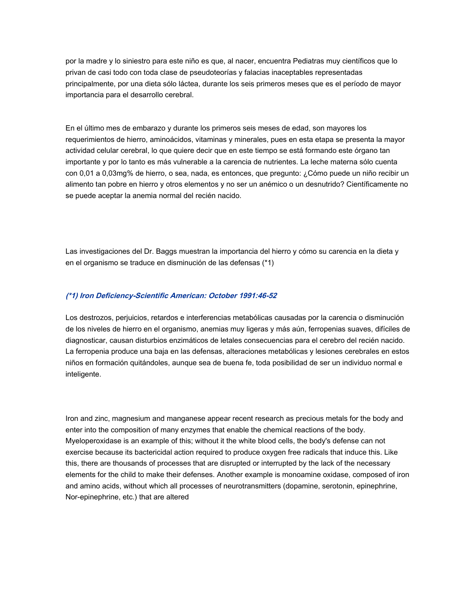por la madre y lo siniestro para este niño es que, al nacer, encuentra Pediatras muy científicos que lo privan de casi todo con toda clase de pseudoteorías y falacias inaceptables representadas principalmente, por una dieta sólo láctea, durante los seis primeros meses que es el período de mayor importancia para el desarrollo cerebral.

En el último mes de embarazo y durante los primeros seis meses de edad, son mayores los requerimientos de hierro, aminoácidos, vitaminas y minerales, pues en esta etapa se presenta la mayor actividad celular cerebral, lo que quiere decir que en este tiempo se está formando este órgano tan importante y por lo tanto es más vulnerable a la carencia de nutrientes. La leche materna sólo cuenta con 0,01 a 0,03mg% de hierro, o sea, nada, es entonces, que pregunto: ¿Cómo puede un niño recibir un alimento tan pobre en hierro y otros elementos y no ser un anémico o un desnutrido? Científicamente no se puede aceptar la anemia normal del recién nacido.

Las investigaciones del Dr. Baggs muestran la importancia del hierro y cómo su carencia en la dieta y en el organismo se traduce en disminución de las defensas (\*1)

## **(\*1) Iron Deficiency-Scientific American: October 1991:46-52**

Los destrozos, perjuicios, retardos e interferencias metabólicas causadas por la carencia o disminución de los niveles de hierro en el organismo, anemias muy ligeras y más aún, ferropenias suaves, difíciles de diagnosticar, causan disturbios enzimáticos de letales consecuencias para el cerebro del recién nacido. La ferropenia produce una baja en las defensas, alteraciones metabólicas y lesiones cerebrales en estos niños en formación quitándoles, aunque sea de buena fe, toda posibilidad de ser un individuo normal e inteligente.

Iron and zinc, magnesium and manganese appear recent research as precious metals for the body and enter into the composition of many enzymes that enable the chemical reactions of the body. Myeloperoxidase is an example of this; without it the white blood cells, the body's defense can not exercise because its bactericidal action required to produce oxygen free radicals that induce this. Like this, there are thousands of processes that are disrupted or interrupted by the lack of the necessary elements for the child to make their defenses. Another example is monoamine oxidase, composed of iron and amino acids, without which all processes of neurotransmitters (dopamine, serotonin, epinephrine, Nor-epinephrine, etc.) that are altered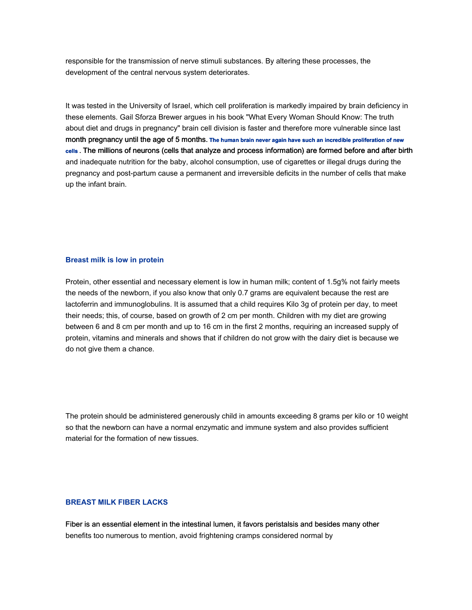responsible for the transmission of nerve stimuli substances. By altering these processes, the development of the central nervous system deteriorates.

It was tested in the University of Israel, which cell proliferation is markedly impaired by brain deficiency in these elements. Gail Sforza Brewer argues in his book "What Every Woman Should Know: The truth about diet and drugs in pregnancy" brain cell division is faster and therefore more vulnerable since last month pregnancy until the age of 5 months. **The human brain never again have such an incredible proliferation of new cells .** The millions of neurons (cells that analyze and process information) are formed before and after birth and inadequate nutrition for the baby, alcohol consumption, use of cigarettes or illegal drugs during the pregnancy and post-partum cause a permanent and irreversible deficits in the number of cells that make up the infant brain.

### **Breast milk is low in protein**

Protein, other essential and necessary element is low in human milk; content of 1.5g% not fairly meets the needs of the newborn, if you also know that only 0.7 grams are equivalent because the rest are lactoferrin and immunoglobulins. It is assumed that a child requires Kilo 3g of protein per day, to meet their needs; this, of course, based on growth of 2 cm per month. Children with my diet are growing between 6 and 8 cm per month and up to 16 cm in the first 2 months, requiring an increased supply of protein, vitamins and minerals and shows that if children do not grow with the dairy diet is because we do not give them a chance.

The protein should be administered generously child in amounts exceeding 8 grams per kilo or 10 weight so that the newborn can have a normal enzymatic and immune system and also provides sufficient material for the formation of new tissues.

### **BREAST MILK FIBER LACKS**

Fiber is an essential element in the intestinal lumen, it favors peristalsis and besides many other benefits too numerous to mention, avoid frightening cramps considered normal by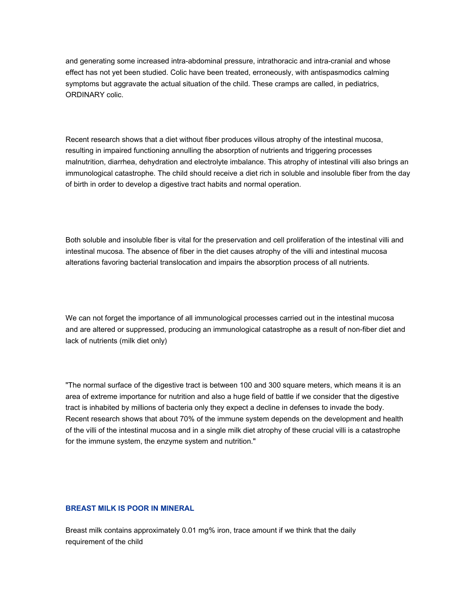and generating some increased intra-abdominal pressure, intrathoracic and intra-cranial and whose effect has not yet been studied. Colic have been treated, erroneously, with antispasmodics calming symptoms but aggravate the actual situation of the child. These cramps are called, in pediatrics, ORDINARY colic.

Recent research shows that a diet without fiber produces villous atrophy of the intestinal mucosa, resulting in impaired functioning annulling the absorption of nutrients and triggering processes malnutrition, diarrhea, dehydration and electrolyte imbalance. This atrophy of intestinal villi also brings an immunological catastrophe. The child should receive a diet rich in soluble and insoluble fiber from the day of birth in order to develop a digestive tract habits and normal operation.

Both soluble and insoluble fiber is vital for the preservation and cell proliferation of the intestinal villi and intestinal mucosa. The absence of fiber in the diet causes atrophy of the villi and intestinal mucosa alterations favoring bacterial translocation and impairs the absorption process of all nutrients.

We can not forget the importance of all immunological processes carried out in the intestinal mucosa and are altered or suppressed, producing an immunological catastrophe as a result of non-fiber diet and lack of nutrients (milk diet only)

"The normal surface of the digestive tract is between 100 and 300 square meters, which means it is an area of extreme importance for nutrition and also a huge field of battle if we consider that the digestive tract is inhabited by millions of bacteria only they expect a decline in defenses to invade the body. Recent research shows that about 70% of the immune system depends on the development and health of the villi of the intestinal mucosa and in a single milk diet atrophy of these crucial villi is a catastrophe for the immune system, the enzyme system and nutrition."

### **BREAST MILK IS POOR IN MINERAL**

Breast milk contains approximately 0.01 mg% iron, trace amount if we think that the daily requirement of the child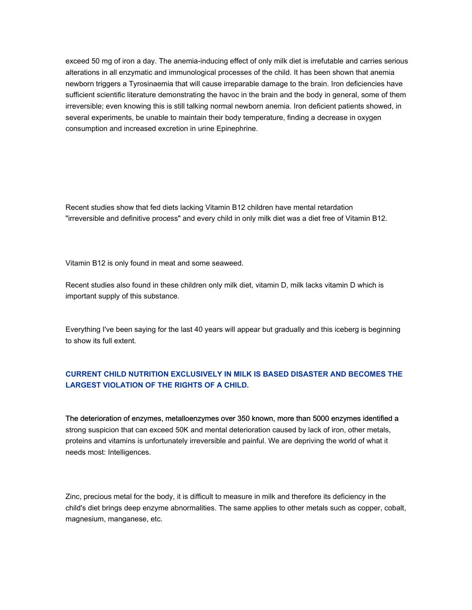exceed 50 mg of iron a day. The anemia-inducing effect of only milk diet is irrefutable and carries serious alterations in all enzymatic and immunological processes of the child. It has been shown that anemia newborn triggers a Tyrosinaemia that will cause irreparable damage to the brain. Iron deficiencies have sufficient scientific literature demonstrating the havoc in the brain and the body in general, some of them irreversible; even knowing this is still talking normal newborn anemia. Iron deficient patients showed, in several experiments, be unable to maintain their body temperature, finding a decrease in oxygen consumption and increased excretion in urine Epinephrine.

Recent studies show that fed diets lacking Vitamin B12 children have mental retardation "irreversible and definitive process" and every child in only milk diet was a diet free of Vitamin B12.

Vitamin B12 is only found in meat and some seaweed.

Recent studies also found in these children only milk diet, vitamin D, milk lacks vitamin D which is important supply of this substance.

Everything I've been saying for the last 40 years will appear but gradually and this iceberg is beginning to show its full extent.

# **CURRENT CHILD NUTRITION EXCLUSIVELY IN MILK IS BASED DISASTER AND BECOMES THE LARGEST VIOLATION OF THE RIGHTS OF A CHILD.**

The deterioration of enzymes, metalloenzymes over 350 known, more than 5000 enzymes identified a strong suspicion that can exceed 50K and mental deterioration caused by lack of iron, other metals, proteins and vitamins is unfortunately irreversible and painful. We are depriving the world of what it needs most: Intelligences.

Zinc, precious metal for the body, it is difficult to measure in milk and therefore its deficiency in the child's diet brings deep enzyme abnormalities. The same applies to other metals such as copper, cobalt, magnesium, manganese, etc.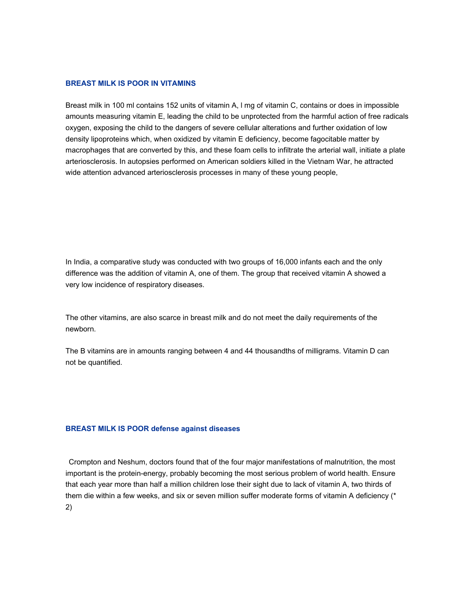#### **BREAST MILK IS POOR IN VITAMINS**

Breast milk in 100 ml contains 152 units of vitamin A, l mg of vitamin C, contains or does in impossible amounts measuring vitamin E, leading the child to be unprotected from the harmful action of free radicals oxygen, exposing the child to the dangers of severe cellular alterations and further oxidation of low density lipoproteins which, when oxidized by vitamin E deficiency, become fagocitable matter by macrophages that are converted by this, and these foam cells to infiltrate the arterial wall, initiate a plate arteriosclerosis. In autopsies performed on American soldiers killed in the Vietnam War, he attracted wide attention advanced arteriosclerosis processes in many of these young people,

In India, a comparative study was conducted with two groups of 16,000 infants each and the only difference was the addition of vitamin A, one of them. The group that received vitamin A showed a very low incidence of respiratory diseases.

The other vitamins, are also scarce in breast milk and do not meet the daily requirements of the newborn.

The B vitamins are in amounts ranging between 4 and 44 thousandths of milligrams. Vitamin D can not be quantified.

#### **BREAST MILK IS POOR defense against diseases**

Crompton and Neshum, doctors found that of the four major manifestations of malnutrition, the most important is the protein-energy, probably becoming the most serious problem of world health. Ensure that each year more than half a million children lose their sight due to lack of vitamin A, two thirds of them die within a few weeks, and six or seven million suffer moderate forms of vitamin A deficiency (\* 2)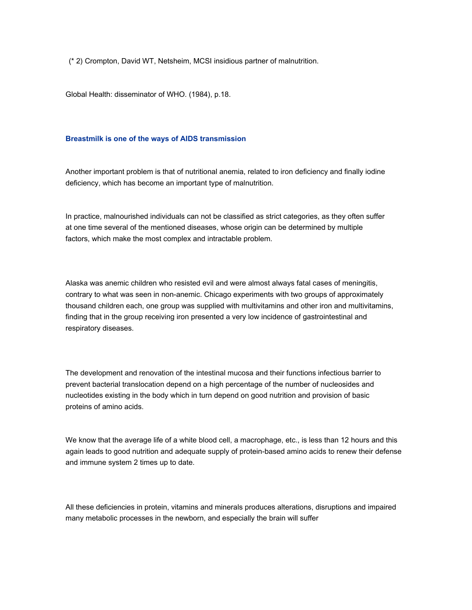(\* 2) Crompton, David WT, Netsheim, MCSI insidious partner of malnutrition.

Global Health: disseminator of WHO. (1984), p.18.

#### **Breastmilk is one of the ways of AIDS transmission**

Another important problem is that of nutritional anemia, related to iron deficiency and finally iodine deficiency, which has become an important type of malnutrition.

In practice, malnourished individuals can not be classified as strict categories, as they often suffer at one time several of the mentioned diseases, whose origin can be determined by multiple factors, which make the most complex and intractable problem.

Alaska was anemic children who resisted evil and were almost always fatal cases of meningitis, contrary to what was seen in non-anemic. Chicago experiments with two groups of approximately thousand children each, one group was supplied with multivitamins and other iron and multivitamins, finding that in the group receiving iron presented a very low incidence of gastrointestinal and respiratory diseases.

The development and renovation of the intestinal mucosa and their functions infectious barrier to prevent bacterial translocation depend on a high percentage of the number of nucleosides and nucleotides existing in the body which in turn depend on good nutrition and provision of basic proteins of amino acids.

We know that the average life of a white blood cell, a macrophage, etc., is less than 12 hours and this again leads to good nutrition and adequate supply of protein-based amino acids to renew their defense and immune system 2 times up to date.

All these deficiencies in protein, vitamins and minerals produces alterations, disruptions and impaired many metabolic processes in the newborn, and especially the brain will suffer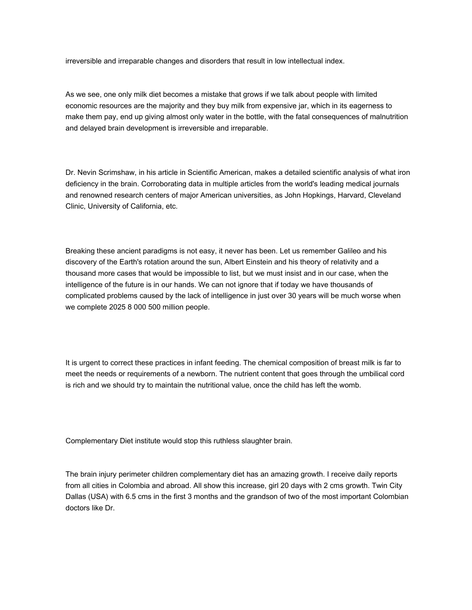irreversible and irreparable changes and disorders that result in low intellectual index.

As we see, one only milk diet becomes a mistake that grows if we talk about people with limited economic resources are the majority and they buy milk from expensive jar, which in its eagerness to make them pay, end up giving almost only water in the bottle, with the fatal consequences of malnutrition and delayed brain development is irreversible and irreparable.

Dr. Nevin Scrimshaw, in his article in Scientific American, makes a detailed scientific analysis of what iron deficiency in the brain. Corroborating data in multiple articles from the world's leading medical journals and renowned research centers of major American universities, as John Hopkings, Harvard, Cleveland Clinic, University of California, etc.

Breaking these ancient paradigms is not easy, it never has been. Let us remember Galileo and his discovery of the Earth's rotation around the sun, Albert Einstein and his theory of relativity and a thousand more cases that would be impossible to list, but we must insist and in our case, when the intelligence of the future is in our hands. We can not ignore that if today we have thousands of complicated problems caused by the lack of intelligence in just over 30 years will be much worse when we complete 2025 8 000 500 million people.

It is urgent to correct these practices in infant feeding. The chemical composition of breast milk is far to meet the needs or requirements of a newborn. The nutrient content that goes through the umbilical cord is rich and we should try to maintain the nutritional value, once the child has left the womb.

Complementary Diet institute would stop this ruthless slaughter brain.

The brain injury perimeter children complementary diet has an amazing growth. I receive daily reports from all cities in Colombia and abroad. All show this increase, girl 20 days with 2 cms growth. Twin City Dallas (USA) with 6.5 cms in the first 3 months and the grandson of two of the most important Colombian doctors like Dr.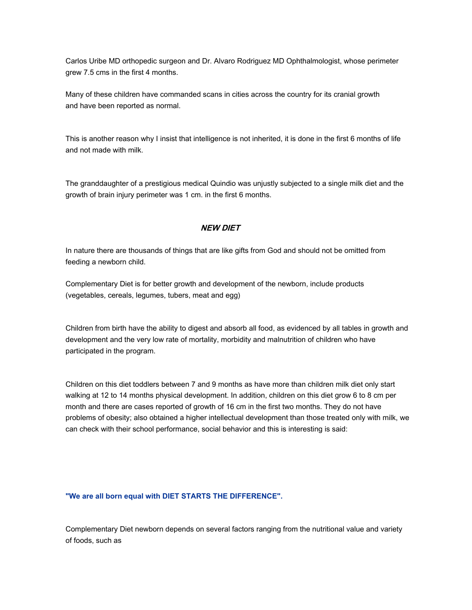Carlos Uribe MD orthopedic surgeon and Dr. Alvaro Rodriguez MD Ophthalmologist, whose perimeter grew 7.5 cms in the first 4 months.

Many of these children have commanded scans in cities across the country for its cranial growth and have been reported as normal.

This is another reason why I insist that intelligence is not inherited, it is done in the first 6 months of life and not made with milk.

The granddaughter of a prestigious medical Quindio was unjustly subjected to a single milk diet and the growth of brain injury perimeter was 1 cm. in the first 6 months.

# **NEW DIET**

In nature there are thousands of things that are like gifts from God and should not be omitted from feeding a newborn child.

Complementary Diet is for better growth and development of the newborn, include products (vegetables, cereals, legumes, tubers, meat and egg)

Children from birth have the ability to digest and absorb all food, as evidenced by all tables in growth and development and the very low rate of mortality, morbidity and malnutrition of children who have participated in the program.

Children on this diet toddlers between 7 and 9 months as have more than children milk diet only start walking at 12 to 14 months physical development. In addition, children on this diet grow 6 to 8 cm per month and there are cases reported of growth of 16 cm in the first two months. They do not have problems of obesity; also obtained a higher intellectual development than those treated only with milk, we can check with their school performance, social behavior and this is interesting is said:

### **"We are all born equal with DIET STARTS THE DIFFERENCE".**

Complementary Diet newborn depends on several factors ranging from the nutritional value and variety of foods, such as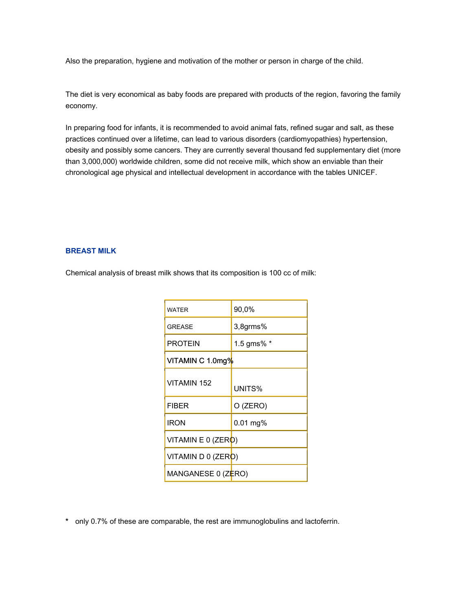Also the preparation, hygiene and motivation of the mother or person in charge of the child.

The diet is very economical as baby foods are prepared with products of the region, favoring the family economy.

In preparing food for infants, it is recommended to avoid animal fats, refined sugar and salt, as these practices continued over a lifetime, can lead to various disorders (cardiomyopathies) hypertension, obesity and possibly some cancers. They are currently several thousand fed supplementary diet (more than 3,000,000) worldwide children, some did not receive milk, which show an enviable than their chronological age physical and intellectual development in accordance with the tables UNICEF.

## **BREAST MILK**

Chemical analysis of breast milk shows that its composition is 100 cc of milk:

| <b>WATER</b>       | 90,0%      |
|--------------------|------------|
| <b>GREASE</b>      | 3,8grms%   |
| <b>PROTEIN</b>     | 1.5 gms% * |
| VITAMIN C 1.0mg%   |            |
| VITAMIN 152        | UNITS%     |
| <b>FIBER</b>       | O (ZERO)   |
| <b>IRON</b>        | $0.01$ mg% |
| VITAMIN E 0 (ZERO) |            |
| VITAMIN D 0 (ZERO) |            |
| MANGANESE 0 (ZĒRO) |            |

**\*** only 0.7% of these are comparable, the rest are immunoglobulins and lactoferrin.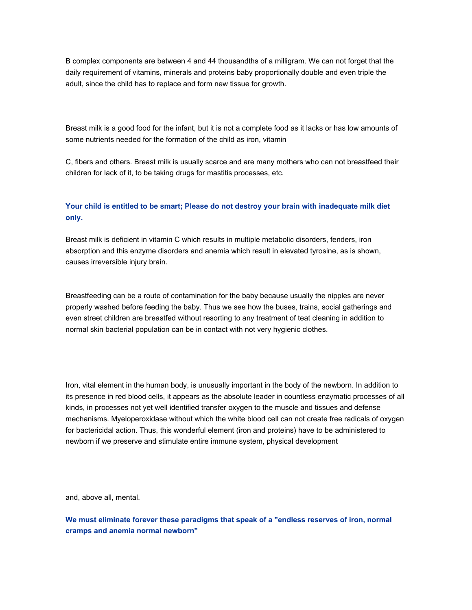B complex components are between 4 and 44 thousandths of a milligram. We can not forget that the daily requirement of vitamins, minerals and proteins baby proportionally double and even triple the adult, since the child has to replace and form new tissue for growth.

Breast milk is a good food for the infant, but it is not a complete food as it lacks or has low amounts of some nutrients needed for the formation of the child as iron, vitamin

C, fibers and others. Breast milk is usually scarce and are many mothers who can not breastfeed their children for lack of it, to be taking drugs for mastitis processes, etc.

# **Your child is entitled to be smart; Please do not destroy your brain with inadequate milk diet only.**

Breast milk is deficient in vitamin C which results in multiple metabolic disorders, fenders, iron absorption and this enzyme disorders and anemia which result in elevated tyrosine, as is shown, causes irreversible injury brain.

Breastfeeding can be a route of contamination for the baby because usually the nipples are never properly washed before feeding the baby. Thus we see how the buses, trains, social gatherings and even street children are breastfed without resorting to any treatment of teat cleaning in addition to normal skin bacterial population can be in contact with not very hygienic clothes.

Iron, vital element in the human body, is unusually important in the body of the newborn. In addition to its presence in red blood cells, it appears as the absolute leader in countless enzymatic processes of all kinds, in processes not yet well identified transfer oxygen to the muscle and tissues and defense mechanisms. Myeloperoxidase without which the white blood cell can not create free radicals of oxygen for bactericidal action. Thus, this wonderful element (iron and proteins) have to be administered to newborn if we preserve and stimulate entire immune system, physical development

and, above all, mental.

**We must eliminate forever these paradigms that speak of a "endless reserves of iron, normal cramps and anemia normal newborn"**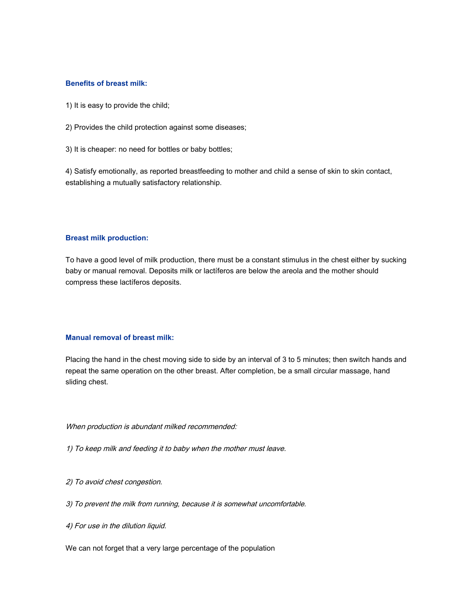### **Benefits of breast milk:**

- 1) It is easy to provide the child;
- 2) Provides the child protection against some diseases;
- 3) It is cheaper: no need for bottles or baby bottles;

4) Satisfy emotionally, as reported breastfeeding to mother and child a sense of skin to skin contact, establishing a mutually satisfactory relationship.

### **Breast milk production:**

To have a good level of milk production, there must be a constant stimulus in the chest either by sucking baby or manual removal. Deposits milk or lactíferos are below the areola and the mother should compress these lactíferos deposits.

#### **Manual removal of breast milk:**

Placing the hand in the chest moving side to side by an interval of 3 to 5 minutes; then switch hands and repeat the same operation on the other breast. After completion, be a small circular massage, hand sliding chest.

#### When production is abundant milked recommended:

- 1) To keep milk and feeding it to baby when the mother must leave.
- 2) To avoid chest congestion.
- 3) To prevent the milk from running, because it is somewhat uncomfortable.
- 4) For use in the dilution liquid.

We can not forget that a very large percentage of the population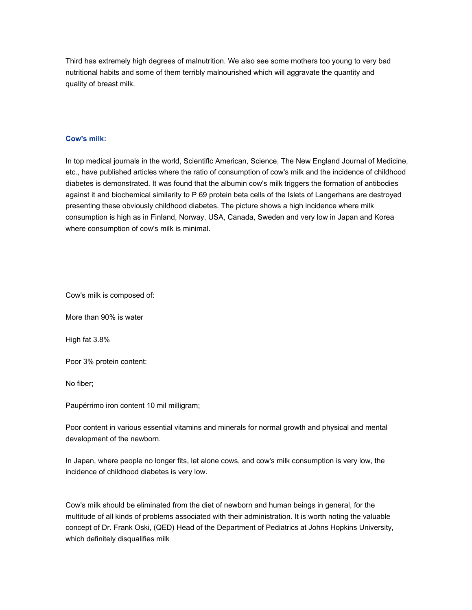Third has extremely high degrees of malnutrition. We also see some mothers too young to very bad nutritional habits and some of them terribly malnourished which will aggravate the quantity and quality of breast milk.

### **Cow's milk:**

In top medical journals in the world, Scientiflc American, Science, The New England Journal of Medicine, etc., have published articles where the ratio of consumption of cow's milk and the incidence of childhood diabetes is demonstrated. It was found that the albumin cow's milk triggers the formation of antibodies against it and biochemical similarity to P 69 protein beta cells of the Islets of Langerhans are destroyed presenting these obviously childhood diabetes. The picture shows a high incidence where milk consumption is high as in Finland, Norway, USA, Canada, Sweden and very low in Japan and Korea where consumption of cow's milk is minimal.

Cow's milk is composed of:

More than 90% is water

High fat 3.8%

Poor 3% protein content:

No fiber;

Paupérrimo iron content 10 mil milligram;

Poor content in various essential vitamins and minerals for normal growth and physical and mental development of the newborn.

In Japan, where people no longer fits, let alone cows, and cow's milk consumption is very low, the incidence of childhood diabetes is very low.

Cow's milk should be eliminated from the diet of newborn and human beings in general, for the multitude of all kinds of problems associated with their administration. It is worth noting the valuable concept of Dr. Frank Oski, (QED) Head of the Department of Pediatrics at Johns Hopkins University, which definitely disqualifies milk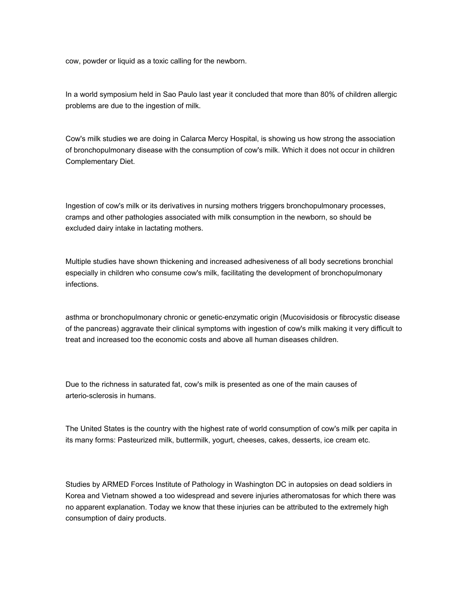cow, powder or liquid as a toxic calling for the newborn.

In a world symposium held in Sao Paulo last year it concluded that more than 80% of children allergic problems are due to the ingestion of milk.

Cow's milk studies we are doing in Calarca Mercy Hospital, is showing us how strong the association of bronchopulmonary disease with the consumption of cow's milk. Which it does not occur in children Complementary Diet.

Ingestion of cow's milk or its derivatives in nursing mothers triggers bronchopulmonary processes, cramps and other pathologies associated with milk consumption in the newborn, so should be excluded dairy intake in lactating mothers.

Multiple studies have shown thickening and increased adhesiveness of all body secretions bronchial especially in children who consume cow's milk, facilitating the development of bronchopulmonary infections.

asthma or bronchopulmonary chronic or genetic-enzymatic origin (Mucovisidosis or fibrocystic disease of the pancreas) aggravate their clinical symptoms with ingestion of cow's milk making it very difficult to treat and increased too the economic costs and above all human diseases children.

Due to the richness in saturated fat, cow's milk is presented as one of the main causes of arterio-sclerosis in humans.

The United States is the country with the highest rate of world consumption of cow's milk per capita in its many forms: Pasteurized milk, buttermilk, yogurt, cheeses, cakes, desserts, ice cream etc.

Studies by ARMED Forces Institute of Pathology in Washington DC in autopsies on dead soldiers in Korea and Vietnam showed a too widespread and severe injuries atheromatosas for which there was no apparent explanation. Today we know that these injuries can be attributed to the extremely high consumption of dairy products.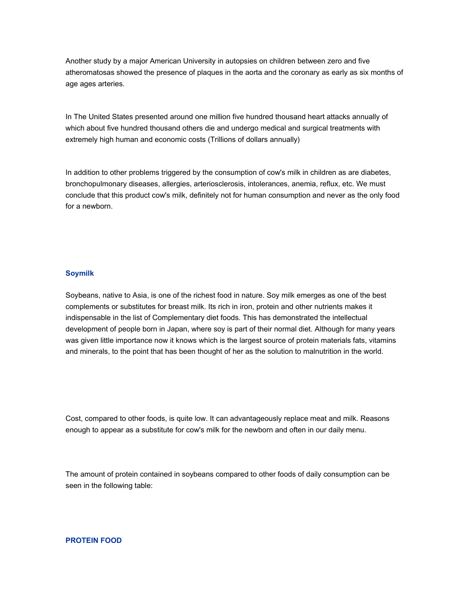Another study by a major American University in autopsies on children between zero and five atheromatosas showed the presence of plaques in the aorta and the coronary as early as six months of age ages arteries.

In The United States presented around one million five hundred thousand heart attacks annually of which about five hundred thousand others die and undergo medical and surgical treatments with extremely high human and economic costs (Trillions of dollars annually)

In addition to other problems triggered by the consumption of cow's milk in children as are diabetes, bronchopulmonary diseases, allergies, arteriosclerosis, intolerances, anemia, reflux, etc. We must conclude that this product cow's milk, definitely not for human consumption and never as the only food for a newborn.

#### **Soymilk**

Soybeans, native to Asia, is one of the richest food in nature. Soy milk emerges as one of the best complements or substitutes for breast milk. Its rich in iron, protein and other nutrients makes it indispensable in the list of Complementary diet foods. This has demonstrated the intellectual development of people born in Japan, where soy is part of their normal diet. Although for many years was given little importance now it knows which is the largest source of protein materials fats, vitamins and minerals, to the point that has been thought of her as the solution to malnutrition in the world.

Cost, compared to other foods, is quite low. It can advantageously replace meat and milk. Reasons enough to appear as a substitute for cow's milk for the newborn and often in our daily menu.

The amount of protein contained in soybeans compared to other foods of daily consumption can be seen in the following table:

**PROTEIN FOOD**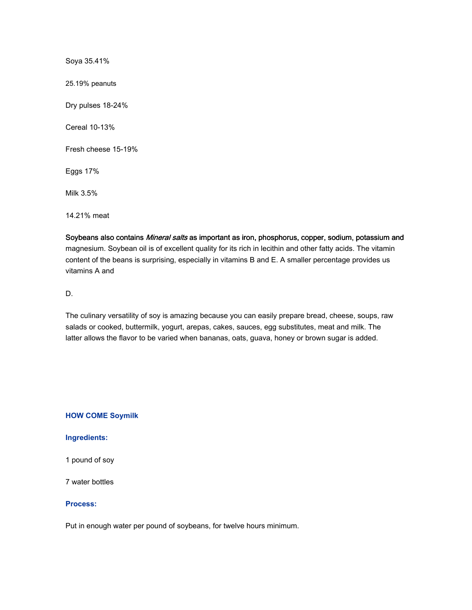Soya 35.41% 25.19% peanuts Dry pulses 18-24% Cereal 10-13% Fresh cheese 15-19% Eggs 17% Milk 3.5% 14.21% meat

Soybeans also contains Mineral salts as important as iron, phosphorus, copper, sodium, potassium and magnesium. Soybean oil is of excellent quality for its rich in lecithin and other fatty acids. The vitamin content of the beans is surprising, especially in vitamins B and E. A smaller percentage provides us vitamins A and

D.

The culinary versatility of soy is amazing because you can easily prepare bread, cheese, soups, raw salads or cooked, buttermilk, yogurt, arepas, cakes, sauces, egg substitutes, meat and milk. The latter allows the flavor to be varied when bananas, oats, guava, honey or brown sugar is added.

# **HOW COME Soymilk**

## **Ingredients:**

1 pound of soy

7 water bottles

## **Process:**

Put in enough water per pound of soybeans, for twelve hours minimum.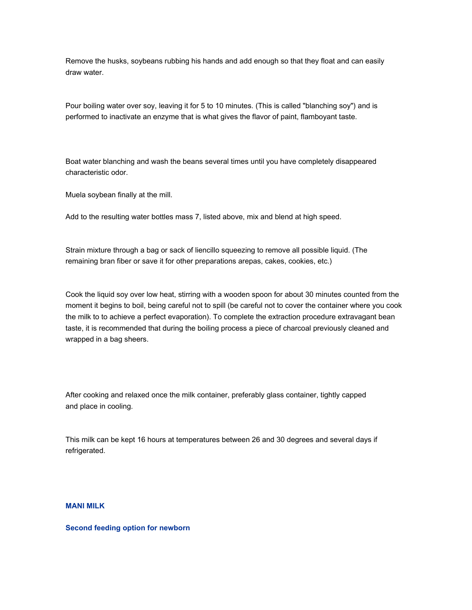Remove the husks, soybeans rubbing his hands and add enough so that they float and can easily draw water.

Pour boiling water over soy, leaving it for 5 to 10 minutes. (This is called "blanching soy") and is performed to inactivate an enzyme that is what gives the flavor of paint, flamboyant taste.

Boat water blanching and wash the beans several times until you have completely disappeared characteristic odor.

Muela soybean finally at the mill.

Add to the resulting water bottles mass 7, listed above, mix and blend at high speed.

Strain mixture through a bag or sack of liencillo squeezing to remove all possible liquid. (The remaining bran fiber or save it for other preparations arepas, cakes, cookies, etc.)

Cook the liquid soy over low heat, stirring with a wooden spoon for about 30 minutes counted from the moment it begins to boil, being careful not to spill (be careful not to cover the container where you cook the milk to to achieve a perfect evaporation). To complete the extraction procedure extravagant bean taste, it is recommended that during the boiling process a piece of charcoal previously cleaned and wrapped in a bag sheers.

After cooking and relaxed once the milk container, preferably glass container, tightly capped and place in cooling.

This milk can be kept 16 hours at temperatures between 26 and 30 degrees and several days if refrigerated.

#### **MANI MILK**

### **Second feeding option for newborn**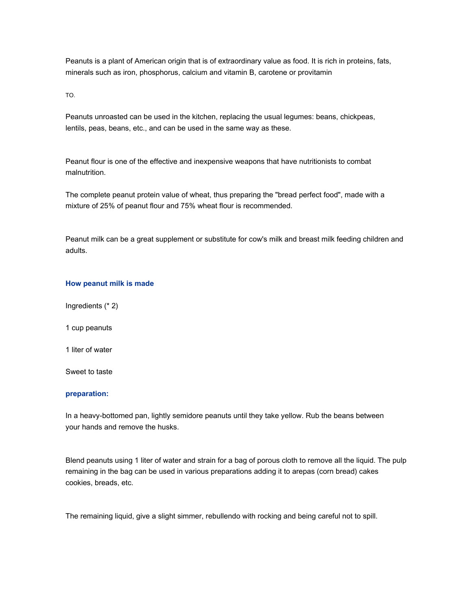Peanuts is a plant of American origin that is of extraordinary value as food. It is rich in proteins, fats, minerals such as iron, phosphorus, calcium and vitamin B, carotene or provitamin

TO.

Peanuts unroasted can be used in the kitchen, replacing the usual legumes: beans, chickpeas, lentils, peas, beans, etc., and can be used in the same way as these.

Peanut flour is one of the effective and inexpensive weapons that have nutritionists to combat malnutrition.

The complete peanut protein value of wheat, thus preparing the "bread perfect food", made with a mixture of 25% of peanut flour and 75% wheat flour is recommended.

Peanut milk can be a great supplement or substitute for cow's milk and breast milk feeding children and adults.

### **How peanut milk is made**

- Ingredients (\* 2)
- 1 cup peanuts
- 1 liter of water

Sweet to taste

### **preparation:**

In a heavy-bottomed pan, lightly semidore peanuts until they take yellow. Rub the beans between your hands and remove the husks.

Blend peanuts using 1 liter of water and strain for a bag of porous cloth to remove all the liquid. The pulp remaining in the bag can be used in various preparations adding it to arepas (corn bread) cakes cookies, breads, etc.

The remaining liquid, give a slight simmer, rebullendo with rocking and being careful not to spill.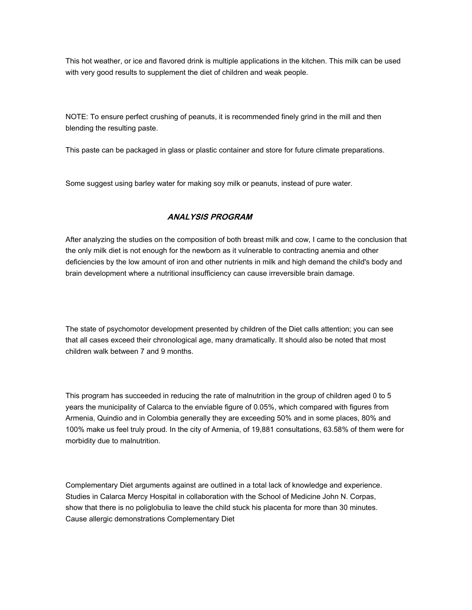This hot weather, or ice and flavored drink is multiple applications in the kitchen. This milk can be used with very good results to supplement the diet of children and weak people.

NOTE: To ensure perfect crushing of peanuts, it is recommended finely grind in the mill and then blending the resulting paste.

This paste can be packaged in glass or plastic container and store for future climate preparations.

Some suggest using barley water for making soy milk or peanuts, instead of pure water.

# **ANALYSIS PROGRAM**

After analyzing the studies on the composition of both breast milk and cow, I came to the conclusion that the only milk diet is not enough for the newborn as it vulnerable to contracting anemia and other deficiencies by the low amount of iron and other nutrients in milk and high demand the child's body and brain development where a nutritional insufficiency can cause irreversible brain damage.

The state of psychomotor development presented by children of the Diet calls attention; you can see that all cases exceed their chronological age, many dramatically. It should also be noted that most children walk between 7 and 9 months.

This program has succeeded in reducing the rate of malnutrition in the group of children aged 0 to 5 years the municipality of Calarca to the enviable figure of 0.05%, which compared with figures from Armenia, Quindio and in Colombia generally they are exceeding 50% and in some places, 80% and 100% make us feel truly proud. In the city of Armenia, of 19,881 consultations, 63.58% of them were for morbidity due to malnutrition.

Complementary Diet arguments against are outlined in a total lack of knowledge and experience. Studies in Calarca Mercy Hospital in collaboration with the School of Medicine John N. Corpas, show that there is no poliglobulia to leave the child stuck his placenta for more than 30 minutes. Cause allergic demonstrations Complementary Diet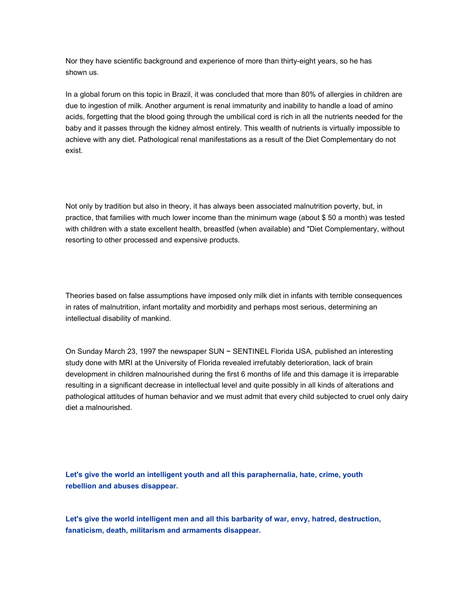Nor they have scientific background and experience of more than thirty-eight years, so he has shown us.

In a global forum on this topic in Brazil, it was concluded that more than 80% of allergies in children are due to ingestion of milk. Another argument is renal immaturity and inability to handle a load of amino acids, forgetting that the blood going through the umbilical cord is rich in all the nutrients needed for the baby and it passes through the kidney almost entirely. This wealth of nutrients is virtually impossible to achieve with any diet. Pathological renal manifestations as a result of the Diet Complementary do not exist.

Not only by tradition but also in theory, it has always been associated malnutrition poverty, but, in practice, that families with much lower income than the minimum wage (about \$ 50 a month) was tested with children with a state excellent health, breastfed (when available) and "Diet Complementary, without resorting to other processed and expensive products.

Theories based on false assumptions have imposed only milk diet in infants with terrible consequences in rates of malnutrition, infant mortality and morbidity and perhaps most serious, determining an intellectual disability of mankind.

On Sunday March 23, 1997 the newspaper SUN ~ SENTINEL Florida USA, published an interesting study done with MRI at the University of Florida revealed irrefutably deterioration, lack of brain development in children malnourished during the first 6 months of life and this damage it is irreparable resulting in a significant decrease in intellectual level and quite possibly in all kinds of alterations and pathological attitudes of human behavior and we must admit that every child subjected to cruel only dairy diet a malnourished.

**Let's give the world an intelligent youth and all this paraphernalia, hate, crime, youth rebellion and abuses disappear.** 

**Let's give the world intelligent men and all this barbarity of war, envy, hatred, destruction, fanaticism, death, militarism and armaments disappear.**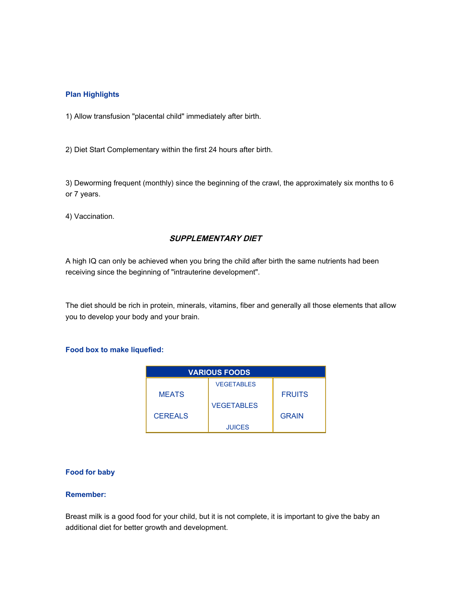## **Plan Highlights**

1) Allow transfusion "placental child" immediately after birth.

2) Diet Start Complementary within the first 24 hours after birth.

3) Deworming frequent (monthly) since the beginning of the crawl, the approximately six months to 6 or 7 years.

4) Vaccination.

# **SUPPLEMENTARY DIET**

A high IQ can only be achieved when you bring the child after birth the same nutrients had been receiving since the beginning of "intrauterine development".

The diet should be rich in protein, minerals, vitamins, fiber and generally all those elements that allow you to develop your body and your brain.

## **Food box to make liquefied:**

| <b>VARIOUS FOODS</b> |                   |               |
|----------------------|-------------------|---------------|
|                      | <b>VEGETABLES</b> |               |
| <b>MEATS</b>         |                   | <b>FRUITS</b> |
|                      | <b>VEGETABLES</b> |               |
| <b>CEREALS</b>       |                   | <b>GRAIN</b>  |
|                      | <b>JUICES</b>     |               |

## **Food for baby**

## **Remember:**

Breast milk is a good food for your child, but it is not complete, it is important to give the baby an additional diet for better growth and development.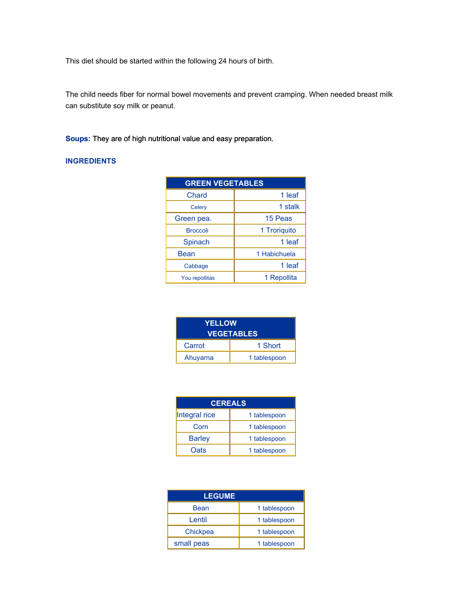This diet should be started within the following 24 hours of birth.

The child needs fiber for normal bowel movements and prevent cramping. When needed breast milk can substitute soy milk or peanut.

**Soups:** They are of high nutritional value and easy preparation.

# **INGREDIENTS**

| <b>GREEN VEGETABLES</b> |              |
|-------------------------|--------------|
| Chard                   | 1 leaf       |
| Celery                  | 1 stalk      |
| Green pea.              | 15 Peas      |
| <b>Broccoli</b>         | 1 Troriguito |
| Spinach                 | 1 leaf       |
| Bean                    | 1 Habichuela |
| Cabbage                 | 1 leaf       |
| You repollitas          | 1 Repollita  |

| <b>YELLOW</b><br><b>VEGETABLES</b> |              |
|------------------------------------|--------------|
| Carrot                             | 1 Short      |
| Ahuyarna                           | 1 tablespoon |

| <b>CEREALS</b> |              |
|----------------|--------------|
| Integral rice  | 1 tablespoon |
| Corn           | 1 tablespoon |
| <b>Barley</b>  | 1 tablespoon |
| Oats           | 1 tablespoon |

| <b>LEGUME</b> |              |
|---------------|--------------|
| Bean          | 1 tablespoon |
| Lentil        | 1 tablespoon |
| Chickpea      | 1 tablespoon |
| small peas    | 1 tablespoon |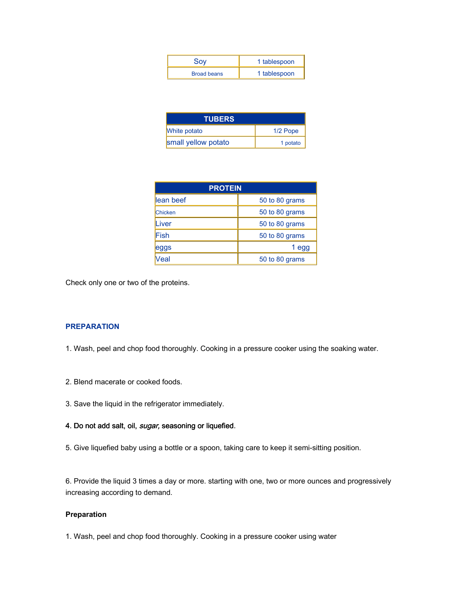| Soy                | 1 tablespoon |
|--------------------|--------------|
| <b>Broad beans</b> | 1 tablespoon |

| <b>TUBERS</b>       |            |
|---------------------|------------|
| <b>White potato</b> | $1/2$ Pope |
| small yellow potato | 1 potato   |

| <b>PROTEIN</b> |                |
|----------------|----------------|
| lean beef      | 50 to 80 grams |
| <b>Chicken</b> | 50 to 80 grams |
| Liver          | 50 to 80 grams |
| Fish           | 50 to 80 grams |
| eggs           | 1 egg          |
| /eal           | 50 to 80 grams |

Check only one or two of the proteins.

## **PREPARATION**

- 1. Wash, peel and chop food thoroughly. Cooking in a pressure cooker using the soaking water.
- 2. Blend macerate or cooked foods.
- 3. Save the liquid in the refrigerator immediately.

# 4. Do not add salt, oil, sugar, seasoning or liquefied.

5. Give liquefied baby using a bottle or a spoon, taking care to keep it semi-sitting position.

6. Provide the liquid 3 times a day or more. starting with one, two or more ounces and progressively increasing according to demand.

## **Preparation**

1. Wash, peel and chop food thoroughly. Cooking in a pressure cooker using water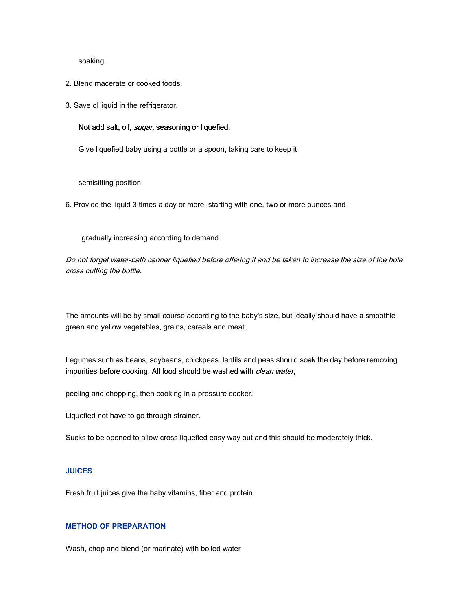### soaking.

- 2. Blend macerate or cooked foods.
- 3. Save cl liquid in the refrigerator.

### Not add salt, oil, sugar, seasoning or liquefied.

Give liquefied baby using a bottle or a spoon, taking care to keep it

semisitting position.

6. Provide the liquid 3 times a day or more. starting with one, two or more ounces and

gradually increasing according to demand.

Do not forget water-bath canner liquefied before offering it and be taken to increase the size of the hole cross cutting the bottle.

The amounts will be by small course according to the baby's size, but ideally should have a smoothie green and yellow vegetables, grains, cereals and meat.

Legumes such as beans, soybeans, chickpeas. lentils and peas should soak the day before removing impurities before cooking. All food should be washed with clean water,

peeling and chopping, then cooking in a pressure cooker.

Liquefied not have to go through strainer.

Sucks to be opened to allow cross liquefied easy way out and this should be moderately thick.

## **JUICES**

Fresh fruit juices give the baby vitamins, fiber and protein.

### **METHOD OF PREPARATION**

Wash, chop and blend (or marinate) with boiled water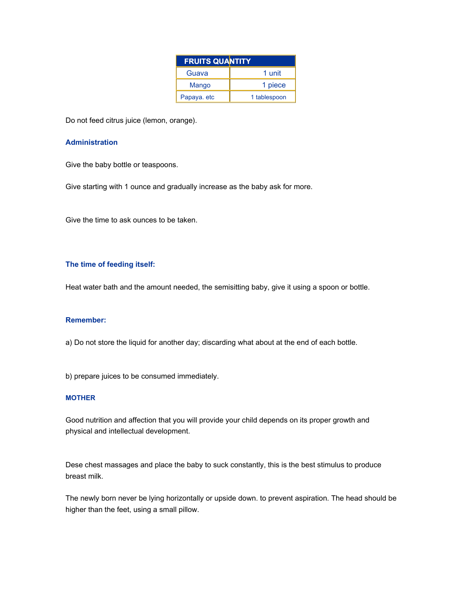| <b>FRUITS QUANTITY</b> |              |
|------------------------|--------------|
| Guava                  | 1 unit       |
| Mango                  | 1 piece      |
| Papaya. etc            | 1 tablespoon |

Do not feed citrus juice (lemon, orange).

### **Administration**

Give the baby bottle or teaspoons.

Give starting with 1 ounce and gradually increase as the baby ask for more.

Give the time to ask ounces to be taken.

### **The time of feeding itself:**

Heat water bath and the amount needed, the semisitting baby, give it using a spoon or bottle.

### **Remember:**

a) Do not store the liquid for another day; discarding what about at the end of each bottle.

b) prepare juices to be consumed immediately.

### **MOTHER**

Good nutrition and affection that you will provide your child depends on its proper growth and physical and intellectual development.

Dese chest massages and place the baby to suck constantly, this is the best stimulus to produce breast milk.

The newly born never be lying horizontally or upside down. to prevent aspiration. The head should be higher than the feet, using a small pillow.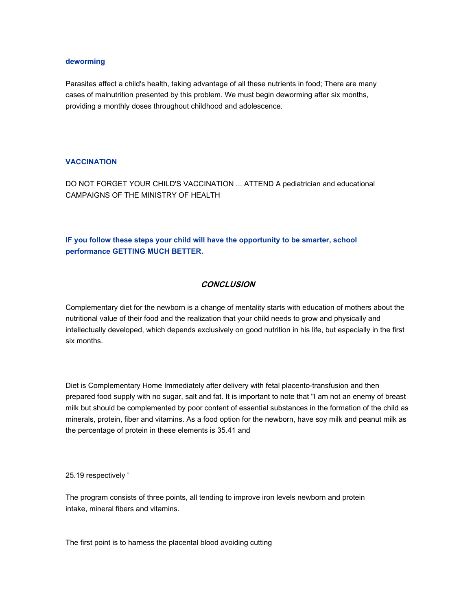### **deworming**

Parasites affect a child's health, taking advantage of all these nutrients in food; There are many cases of malnutrition presented by this problem. We must begin deworming after six months, providing a monthly doses throughout childhood and adolescence.

### **VACCINATION**

DO NOT FORGET YOUR CHILD'S VACCINATION ... ATTEND A pediatrician and educational CAMPAIGNS OF THE MINISTRY OF HEALTH

**IF you follow these steps your child will have the opportunity to be smarter, school performance GETTING MUCH BETTER.**

## **CONCLUSION**

Complementary diet for the newborn is a change of mentality starts with education of mothers about the nutritional value of their food and the realization that your child needs to grow and physically and intellectually developed, which depends exclusively on good nutrition in his life, but especially in the first six months.

Diet is Complementary Home Immediately after delivery with fetal placento-transfusion and then prepared food supply with no sugar, salt and fat. It is important to note that "I am not an enemy of breast milk but should be complemented by poor content of essential substances in the formation of the child as minerals, protein, fiber and vitamins. As a food option for the newborn, have soy milk and peanut milk as the percentage of protein in these elements is 35.41 and

25.19 respectively '

The program consists of three points, all tending to improve iron levels newborn and protein intake, mineral fibers and vitamins.

The first point is to harness the placental blood avoiding cutting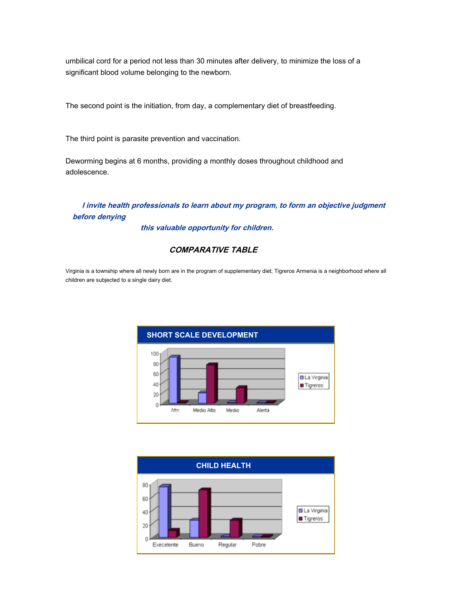umbilical cord for a period not less than 30 minutes after delivery, to minimize the loss of a significant blood volume belonging to the newborn.

The second point is the initiation, from day, a complementary diet of breastfeeding.

The third point is parasite prevention and vaccination.

Deworming begins at 6 months, providing a monthly doses throughout childhood and adolescence.

# **I invite health professionals to learn about my program, to form an objective judgment before denying**

**this valuable opportunity for children.** 

# **COMPARATIVE TABLE**

Virginia is a township where all newly born are in the program of supplementary diet; Tigreros Armenia is a neighborhood where all children are subjected to a single dairy diet.



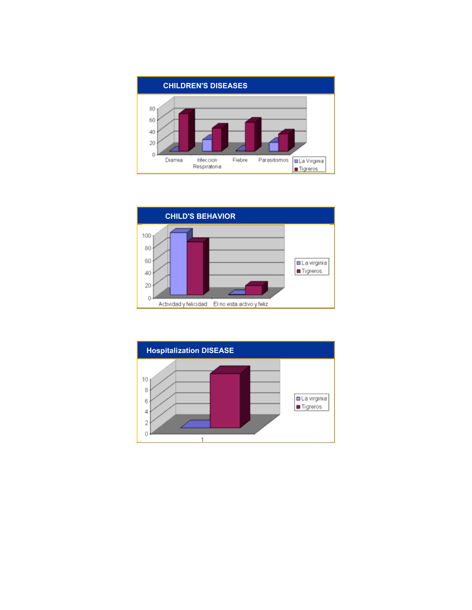



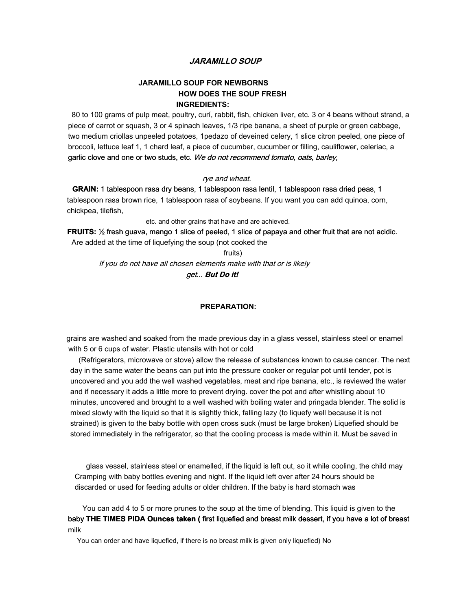## **JARAMILLO SOUP**

# **JARAMILLO SOUP FOR NEWBORNS HOW DOES THE SOUP FRESH INGREDIENTS:**

80 to 100 grams of pulp meat, poultry, curí, rabbit, fish, chicken liver, etc. 3 or 4 beans without strand, a piece of carrot or squash, 3 or 4 spinach leaves, 1/3 ripe banana, a sheet of purple or green cabbage, two medium criollas unpeeled potatoes, 1pedazo of deveined celery, 1 slice citron peeled, one piece of broccoli, lettuce leaf 1, 1 chard leaf, a piece of cucumber, cucumber or filling, cauliflower, celeriac, a garlic clove and one or two studs, etc. We do not recommend tomato, oats, barley,

#### rye and wheat.

**GRAIN:** 1 tablespoon rasa dry beans, 1 tablespoon rasa lentil, 1 tablespoon rasa dried peas, 1 tablespoon rasa brown rice, 1 tablespoon rasa of soybeans. If you want you can add quinoa, corn, chickpea, tilefish,

etc. and other grains that have and are achieved.

**FRUITS:** ½ fresh guava, mango 1 slice of peeled, 1 slice of papaya and other fruit that are not acidic. Are added at the time of liquefying the soup (not cooked the

fruits) If you do not have all chosen elements make with that or is likely get... **But Do it!**

### **PREPARATION:**

grains are washed and soaked from the made previous day in a glass vessel, stainless steel or enamel with 5 or 6 cups of water. Plastic utensils with hot or cold

(Refrigerators, microwave or stove) allow the release of substances known to cause cancer. The next day in the same water the beans can put into the pressure cooker or regular pot until tender, pot is uncovered and you add the well washed vegetables, meat and ripe banana, etc., is reviewed the water and if necessary it adds a little more to prevent drying. cover the pot and after whistling about 10 minutes, uncovered and brought to a well washed with boiling water and pringada blender. The solid is mixed slowly with the liquid so that it is slightly thick, falling lazy (to liquefy well because it is not strained) is given to the baby bottle with open cross suck (must be large broken) Liquefied should be stored immediately in the refrigerator, so that the cooling process is made within it. Must be saved in

glass vessel, stainless steel or enamelled, if the liquid is left out, so it while cooling, the child may Cramping with baby bottles evening and night. If the liquid left over after 24 hours should be discarded or used for feeding adults or older children. If the baby is hard stomach was

You can add 4 to 5 or more prunes to the soup at the time of blending. This liquid is given to the baby **THE TIMES PIDA Ounces taken (** first liquefied and breast milk dessert, if you have a lot of breast milk

You can order and have liquefied, if there is no breast milk is given only liquefied) No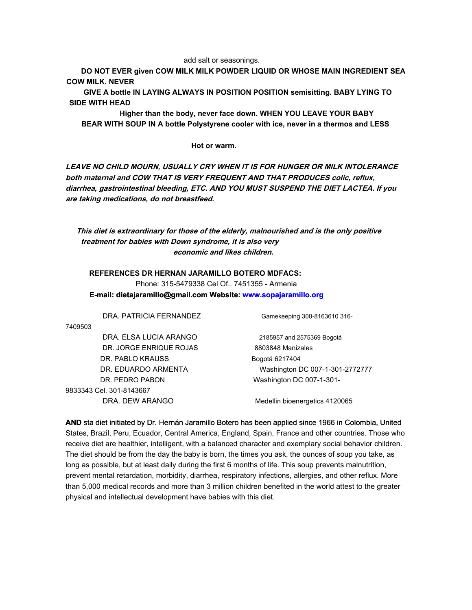#### add salt or seasonings.

**DO NOT EVER given COW MILK MILK POWDER LIQUID OR WHOSE MAIN INGREDIENT SEA COW MILK. NEVER**

**GIVE A bottle IN LAYING ALWAYS IN POSITION POSITION semisitting. BABY LYING TO SIDE WITH HEAD**

**Higher than the body, never face down. WHEN YOU LEAVE YOUR BABY BEAR WITH SOUP IN A bottle Polystyrene cooler with ice, never in a thermos and LESS**

**Hot or warm.**

**LEAVE NO CHILD MOURN, USUALLY CRY WHEN IT IS FOR HUNGER OR MILK INTOLERANCE both maternal and COW THAT IS VERY FREQUENT AND THAT PRODUCES colic, reflux, diarrhea, gastrointestinal bleeding, ETC. AND YOU MUST SUSPEND THE DIET LACTEA. If you are taking medications, do not breastfeed.**

**This diet is extraordinary for those of the elderly, malnourished and is the only positive treatment for babies with Down syndrome, it is also very economic and likes children.**

**REFERENCES DR HERNAN JARAMILLO BOTERO MDFACS:** Phone: 315-5479338 Cel Of.. 7451355 - Armenia **E-mail: dietajaramillo@gmail.com Website: www.sopaja[ramillo.org](http://www.sopajaramillo.org/)**

DRA. PATRICIA FERNANDEZ Gamekeeping 300-8163610 316-

7409503

DRA. ELSA LUCIA ARANGO 2185957 and 2575369 Bogotá DR. JORGE ENRIQUE ROJAS 8803848 Manizales DR. PABLO KRAUSS Bogotá 6217404 DR. PEDRO PABON Washington DC 007-1-301-9833343 Cel. 301-8143667

DR. EDUARDO ARMENTA Washington DC 007-1-301-2772777

DRA. DEW ARANGO Medellin bioenergetics 4120065

**AND** sta diet initiated by Dr. Hernán Jaramillo Botero has been applied since 1966 in Colombia, United States, Brazil, Peru, Ecuador, Central America, England, Spain, France and other countries. Those who receive diet are healthier, intelligent, with a balanced character and exemplary social behavior children. The diet should be from the day the baby is born, the times you ask, the ounces of soup you take, as long as possible, but at least daily during the first 6 months of life. This soup prevents malnutrition, prevent mental retardation, morbidity, diarrhea, respiratory infections, allergies, and other reflux. More than 5,000 medical records and more than 3 million children benefited in the world attest to the greater physical and intellectual development have babies with this diet.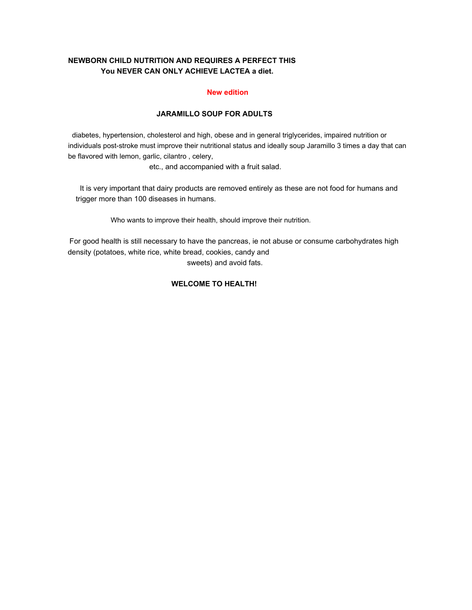# **NEWBORN CHILD NUTRITION AND REQUIRES A PERFECT THIS You NEVER CAN ONLY ACHIEVE LACTEA a diet.**

## **New edition**

# **JARAMILLO SOUP FOR ADULTS**

diabetes, hypertension, cholesterol and high, obese and in general triglycerides, impaired nutrition or individuals post-stroke must improve their nutritional status and ideally soup Jaramillo 3 times a day that can be flavored with lemon, garlic, cilantro , celery,

etc., and accompanied with a fruit salad.

It is very important that dairy products are removed entirely as these are not food for humans and trigger more than 100 diseases in humans.

Who wants to improve their health, should improve their nutrition.

For good health is still necessary to have the pancreas, ie not abuse or consume carbohydrates high density (potatoes, white rice, white bread, cookies, candy and sweets) and avoid fats.

# **WELCOME TO HEALTH!**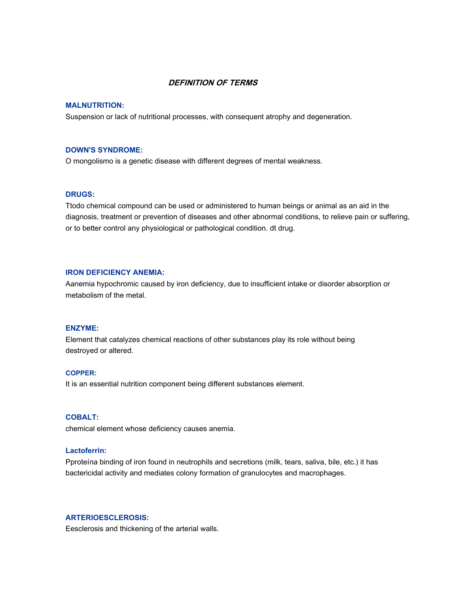## **DEFINITION OF TERMS**

### **MALNUTRITION:**

Suspension or lack of nutritional processes, with consequent atrophy and degeneration.

## **DOWN'S SYNDROME:**

O mongolismo is a genetic disease with different degrees of mental weakness.

### **DRUGS:**

Ttodo chemical compound can be used or administered to human beings or animal as an aid in the diagnosis, treatment or prevention of diseases and other abnormal conditions, to relieve pain or suffering, or to better control any physiological or pathological condition. dt drug.

## **IRON DEFICIENCY ANEMIA:**

Aanemia hypochromic caused by iron deficiency, due to insufficient intake or disorder absorption or metabolism of the metal.

### **ENZYME:**

Element that catalyzes chemical reactions of other substances play its role without being destroyed or altered.

### **COPPER:**

It is an essential nutrition component being different substances element.

## **COBALT:**

chemical element whose deficiency causes anemia.

## **Lactoferrin:**

Pproteína binding of iron found in neutrophils and secretions (milk, tears, saliva, bile, etc.) it has bactericidal activity and mediates colony formation of granulocytes and macrophages.

# **ARTERIOESCLEROSIS:**

Eesclerosis and thickening of the arterial walls.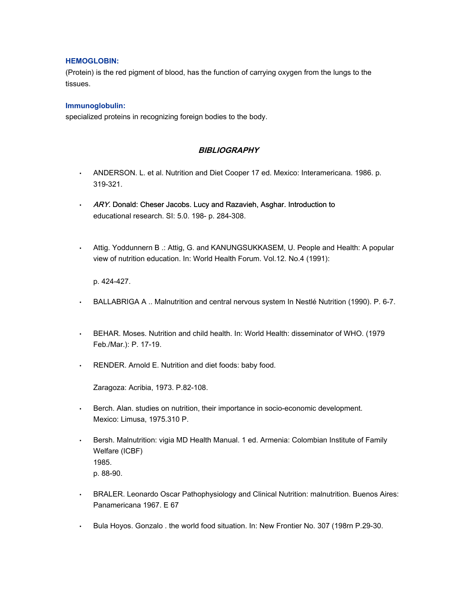## **HEMOGLOBIN:**

(Protein) is the red pigment of blood, has the function of carrying oxygen from the lungs to the tissues.

## **Immunoglobulin:**

specialized proteins in recognizing foreign bodies to the body.

# **BIBLIOGRAPHY**

- ANDERSON. L. et al. Nutrition and Diet Cooper 17 ed. Mexico: Interamericana. 1986. p. 319-321.
- ARY. Donald: Cheser Jacobs. Lucy and Razavieh, Asghar. Introduction to educational research. SI: 5.0. 198- p. 284-308.
- Attig. Yoddunnern B .: Attig, G. and KANUNGSUKKASEM, U. People and Health: A popular view of nutrition education. In: World Health Forum. Vol.12. No.4 (1991):

p. 424-427.

- BALLABRIGA A .. Malnutrition and central nervous system In Nestlé Nutrition (1990). P. 6-7.
- BEHAR. Moses. Nutrition and child health. In: World Health: disseminator of WHO. (1979 Feb./Mar.): P. 17-19.
- RENDER. Arnold E. Nutrition and diet foods: baby food.

Zaragoza: Acribia, 1973. P.82-108.

- Berch. Alan. studies on nutrition, their importance in socio-economic development. Mexico: Limusa, 1975.310 P.
- Bersh. Malnutrition: vigia MD Health Manual. 1 ed. Armenia: Colombian Institute of Family Welfare (ICBF) 1985. p. 88-90.
- BRALER. Leonardo Oscar Pathophysiology and Clinical Nutrition: malnutrition. Buenos Aires: Panamericana 1967. E 67
- Bula Hoyos. Gonzalo . the world food situation. In: New Frontier No. 307 (198rn P.29-30.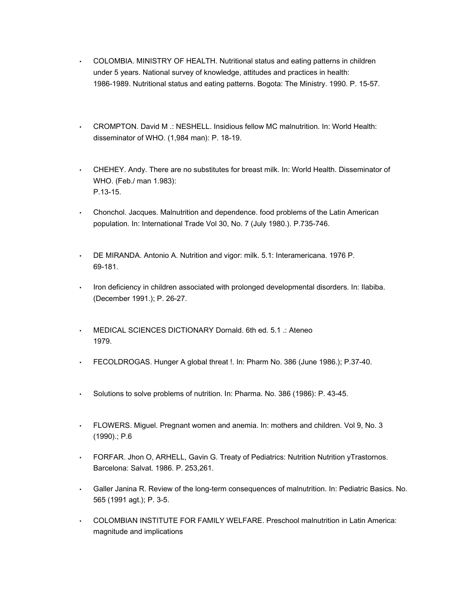- COLOMBIA. MINISTRY OF HEALTH. Nutritional status and eating patterns in children under 5 years. National survey of knowledge, attitudes and practices in health: 1986-1989. Nutritional status and eating patterns. Bogota: The Ministry. 1990. P. 15-57.
- CROMPTON. David M .: NESHELL. Insidious fellow MC malnutrition. In: World Health: disseminator of WHO. (1,984 man): P. 18-19.
- CHEHEY. Andy. There are no substitutes for breast milk. In: World Health. Disseminator of WHO. (Feb./ man 1.983): P.13-15.
- Chonchol. Jacques. Malnutrition and dependence. food problems of the Latin American population. In: International Trade Vol 30, No. 7 (July 1980.). P.735-746.
- DE MIRANDA. Antonio A. Nutrition and vigor: milk. 5.1: Interamericana. 1976 P. 69-181.
- Iron deficiency in children associated with prolonged developmental disorders. In: Ilabiba. (December 1991.); P. 26-27.
- MEDICAL SCIENCES DICTIONARY Dornald. 6th ed. 5.1 .: Ateneo 1979.
- FECOLDROGAS. Hunger A global threat !. In: Pharm No. 386 (June 1986.); P.37-40.
- Solutions to solve problems of nutrition. In: Pharma. No. 386 (1986): P. 43-45.
- FLOWERS. Miguel. Pregnant women and anemia. In: mothers and children. Vol 9, No. 3 (1990).; P.6
- FORFAR. Jhon O, ARHELL, Gavin G. Treaty of Pediatrics: Nutrition Nutrition yTrastornos. Barcelona: Salvat. 1986. P. 253,261.
- Galler Janina R. Review of the long-term consequences of malnutrition. In: Pediatric Basics. No. 565 (1991 agt.); P. 3-5.
- COLOMBIAN INSTITUTE FOR FAMILY WELFARE. Preschool malnutrition in Latin America: magnitude and implications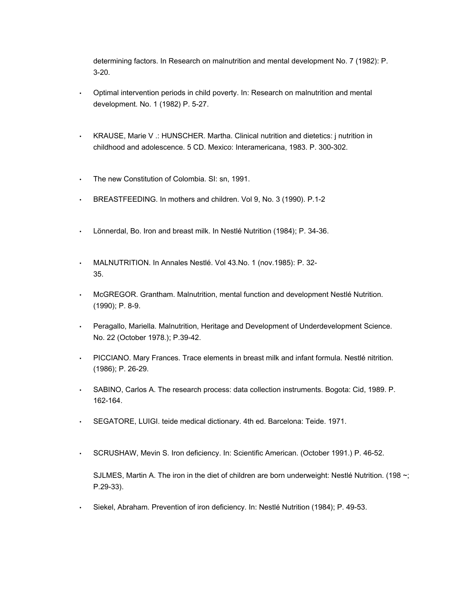determining factors. In Research on malnutrition and mental development No. 7 (1982): P. 3-20.

- Optimal intervention periods in child poverty. In: Research on malnutrition and mental development. No. 1 (1982) P. 5-27.
- KRAUSE, Marie V .: HUNSCHER. Martha. Clinical nutrition and dietetics: j nutrition in childhood and adolescence. 5 CD. Mexico: Interamericana, 1983. P. 300-302.
- The new Constitution of Colombia. SI: sn, 1991.
- BREASTFEEDING. In mothers and children. Vol 9, No. 3 (1990). P.1-2
- Lönnerdal, Bo. Iron and breast milk. In Nestlé Nutrition (1984); P. 34-36.
- MALNUTRITION. In Annales Nestlé. Vol 43.No. 1 (nov.1985): P. 32- 35.
- McGREGOR. Grantham. Malnutrition, mental function and development Nestlé Nutrition. (1990); P. 8-9.
- Peragallo, Mariella. Malnutrition, Heritage and Development of Underdevelopment Science. No. 22 (October 1978.); P.39-42.
- PICCIANO. Mary Frances. Trace elements in breast milk and infant formula. Nestlé nitrition. (1986); P. 26-29.
- SABINO, Carlos A. The research process: data collection instruments. Bogota: Cid, 1989. P. 162-164.
- SEGATORE, LUIGI. teide medical dictionary. 4th ed. Barcelona: Teide. 1971.
- SCRUSHAW, Mevin S. Iron deficiency. In: Scientific American. (October 1991.) P. 46-52.

SJLMES, Martin A. The iron in the diet of children are born underweight: Nestlé Nutrition. (198 $\sim$ ; P.29-33).

• Siekel, Abraham. Prevention of iron deficiency. In: Nestlé Nutrition (1984); P. 49-53.